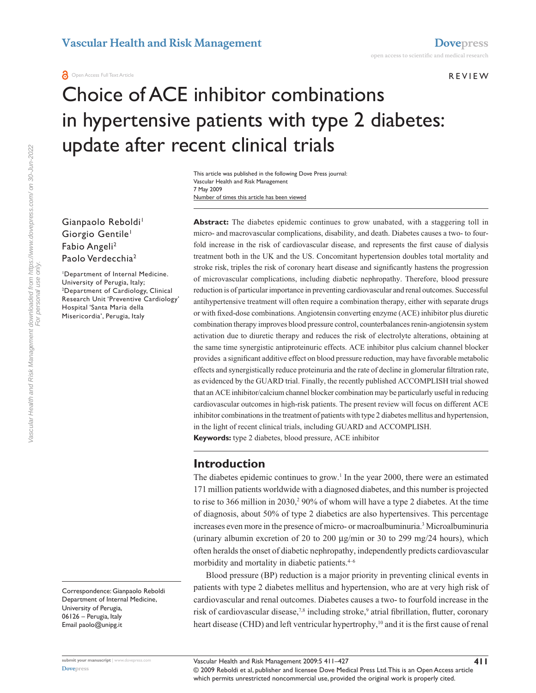#### r e v i e w

# Choice of ACE inhibitor combinations in hypertensive patients with type 2 diabetes: update after recent clinical trials

Number of times this article has been viewed This article was published in the following Dove Press journal: Vascular Health and Risk Management 7 May 2009

Gianpaolo Reboldi<sup>1</sup> Giorgio Gentile<sup>1</sup> Fabio Angeli<sup>2</sup> Paolo Verdecchia<sup>2</sup>

1 Department of Internal Medicine. University of Perugia, Italy; 2 Department of Cardiology, Clinical Research Unit 'Preventive Cardiology' Hospital 'Santa Maria della Misericordia', Perugia, Italy

Correspondence: Gianpaolo Reboldi Department of Internal Medicine, University of Perugia, 06126 – Perugia, Italy Email paolo@unipg.it

Abstract: The diabetes epidemic continues to grow unabated, with a staggering toll in micro- and macrovascular complications, disability, and death. Diabetes causes a two- to fourfold increase in the risk of cardiovascular disease, and represents the first cause of dialysis treatment both in the UK and the US. Concomitant hypertension doubles total mortality and stroke risk, triples the risk of coronary heart disease and significantly hastens the progression of microvascular complications, including diabetic nephropathy. Therefore, blood pressure reduction is of particular importance in preventing cardiovascular and renal outcomes. Successful antihypertensive treatment will often require a combination therapy, either with separate drugs or with fixed-dose combinations. Angiotensin converting enzyme (ACE) inhibitor plus diuretic combination therapy improves blood pressure control, counterbalances renin-angiotensin system activation due to diuretic therapy and reduces the risk of electrolyte alterations, obtaining at the same time synergistic antiproteinuric effects. ACE inhibitor plus calcium channel blocker provides a significant additive effect on blood pressure reduction, may have favorable metabolic effects and synergistically reduce proteinuria and the rate of decline in glomerular filtration rate, as evidenced by the GUARD trial. Finally, the recently published ACCOMPLISH trial showed that an ACE inhibitor/calcium channel blocker combination may be particularly useful in reducing cardiovascular outcomes in high-risk patients. The present review will focus on different ACE inhibitor combinations in the treatment of patients with type 2 diabetes mellitus and hypertension, in the light of recent clinical trials, including GUARD and ACCOMPLISH.

**Keywords:** type 2 diabetes, blood pressure, ACE inhibitor

### **Introduction**

The diabetes epidemic continues to grow.<sup>1</sup> In the year 2000, there were an estimated 171 million patients worldwide with a diagnosed diabetes, and this number is projected to rise to 366 million in 2030,<sup>2</sup> 90% of whom will have a type 2 diabetes. At the time of diagnosis, about 50% of type 2 diabetics are also hypertensives. This percentage increases even more in the presence of micro- or macroalbuminuria.3 Microalbuminuria (urinary albumin excretion of 20 to 200 µg/min or 30 to 299 mg/24 hours), which often heralds the onset of diabetic nephropathy, independently predicts cardiovascular morbidity and mortality in diabetic patients.<sup>4-6</sup>

Blood pressure (BP) reduction is a major priority in preventing clinical events in patients with type 2 diabetes mellitus and hypertension, who are at very high risk of cardiovascular and renal outcomes. Diabetes causes a two- to fourfold increase in the risk of cardiovascular disease,<sup>7,8</sup> including stroke,<sup>9</sup> atrial fibrillation, flutter, coronary heart disease (CHD) and left ventricular hypertrophy,<sup>10</sup> and it is the first cause of renal

**411**

© 2009 Reboldi et al, publisher and licensee Dove Medical Press Ltd. This is an Open Access article which permits unrestricted noncommercial use, provided the original work is properly cited.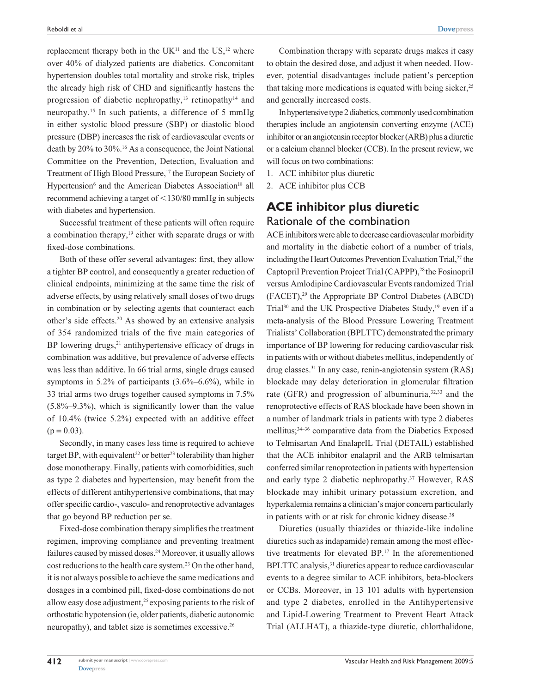replacement therapy both in the  $UK<sup>11</sup>$  and the US,<sup>12</sup> where over 40% of dialyzed patients are diabetics. Concomitant hypertension doubles total mortality and stroke risk, triples the already high risk of CHD and significantly hastens the progression of diabetic nephropathy,<sup>13</sup> retinopathy<sup>14</sup> and neuropathy.15 In such patients, a difference of 5 mmHg in either systolic blood pressure (SBP) or diastolic blood pressure (DBP) increases the risk of cardiovascular events or death by 20% to 30%.16 As a consequence, the Joint National Committee on the Prevention, Detection, Evaluation and Treatment of High Blood Pressure,<sup>17</sup> the European Society of Hypertension<sup>6</sup> and the American Diabetes Association<sup>18</sup> all recommend achieving a target of  $\leq$  130/80 mmHg in subjects with diabetes and hypertension.

Successful treatment of these patients will often require a combination therapy,<sup>19</sup> either with separate drugs or with fixed-dose combinations.

Both of these offer several advantages: first, they allow a tighter BP control, and consequently a greater reduction of clinical endpoints, minimizing at the same time the risk of adverse effects, by using relatively small doses of two drugs in combination or by selecting agents that counteract each other's side effects.20 As showed by an extensive analysis of 354 randomized trials of the five main categories of BP lowering drugs, $21$  antihypertensive efficacy of drugs in combination was additive, but prevalence of adverse effects was less than additive. In 66 trial arms, single drugs caused symptoms in 5.2% of participants (3.6%–6.6%), while in 33 trial arms two drugs together caused symptoms in 7.5% (5.8%–9.3%), which is significantly lower than the value of 10.4% (twice 5.2%) expected with an additive effect  $(p = 0.03)$ .

Secondly, in many cases less time is required to achieve target BP, with equivalent<sup>22</sup> or better<sup>23</sup> tolerability than higher dose monotherapy. Finally, patients with comorbidities, such as type 2 diabetes and hypertension, may benefit from the effects of different antihypertensive combinations, that may offer specific cardio-, vasculo- and renoprotective advantages that go beyond BP reduction per se.

Fixed-dose combination therapy simplifies the treatment regimen, improving compliance and preventing treatment failures caused by missed doses.<sup>24</sup> Moreover, it usually allows cost reductions to the health care system.23 On the other hand, it is not always possible to achieve the same medications and dosages in a combined pill, fixed-dose combinations do not allow easy dose adjustment,<sup>25</sup> exposing patients to the risk of orthostatic hypotension (ie, older patients, diabetic autonomic neuropathy), and tablet size is sometimes excessive.26

Combination therapy with separate drugs makes it easy to obtain the desired dose, and adjust it when needed. However, potential disadvantages include patient's perception that taking more medications is equated with being sicker,  $25$ and generally increased costs.

In hypertensive type 2 diabetics, commonly used combination therapies include an angiotensin converting enzyme (ACE) inhibitor or an angiotensin receptor blocker (ARB) plus a diuretic or a calcium channel blocker (CCB). In the present review, we will focus on two combinations:

1. ACE inhibitor plus diuretic

2. ACE inhibitor plus CCB

# **ACE inhibitor plus diuretic** Rationale of the combination

ACE inhibitors were able to decrease cardiovascular morbidity and mortality in the diabetic cohort of a number of trials, including the Heart Outcomes Prevention Evaluation Trial,<sup>27</sup> the Captopril Prevention Project Trial (CAPPP),<sup>28</sup> the Fosinopril versus Amlodipine Cardiovascular Events randomized Trial (FACET),29 the Appropriate BP Control Diabetes (ABCD) Trial<sup>30</sup> and the UK Prospective Diabetes Study,<sup>19</sup> even if a meta-analysis of the Blood Pressure Lowering Treatment Trialists' Collaboration (BPLTTC) demonstrated the primary importance of BP lowering for reducing cardiovascular risk in patients with or without diabetes mellitus, independently of drug classes.31 In any case, renin-angiotensin system (RAS) blockade may delay deterioration in glomerular filtration rate (GFR) and progression of albuminuria,<sup>32,33</sup> and the renoprotective effects of RAS blockade have been shown in a number of landmark trials in patients with type 2 diabetes mellitus;34–36 comparative data from the Diabetics Exposed to Telmisartan And EnalaprIL Trial (DETAIL) established that the ACE inhibitor enalapril and the ARB telmisartan conferred similar renoprotection in patients with hypertension and early type 2 diabetic nephropathy.37 However, RAS blockade may inhibit urinary potassium excretion, and hyperkalemia remains a clinician's major concern particularly in patients with or at risk for chronic kidney disease.<sup>38</sup>

Diuretics (usually thiazides or thiazide-like indoline diuretics such as indapamide) remain among the most effective treatments for elevated BP.17 In the aforementioned BPLTTC analysis,<sup>31</sup> diuretics appear to reduce cardiovascular events to a degree similar to ACE inhibitors, beta-blockers or CCBs. Moreover, in 13 101 adults with hypertension and type 2 diabetes, enrolled in the Antihypertensive and Lipid-Lowering Treatment to Prevent Heart Attack Trial (ALLHAT), a thiazide-type diuretic, chlorthalidone,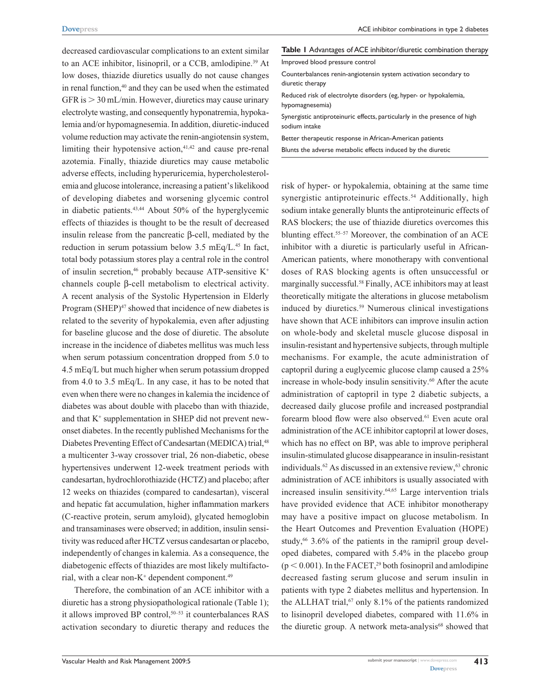decreased cardiovascular complications to an extent similar to an ACE inhibitor, lisinopril, or a CCB, amlodipine.<sup>39</sup> At low doses, thiazide diuretics usually do not cause changes in renal function,<sup>40</sup> and they can be used when the estimated GFR is  $> 30$  mL/min. However, diuretics may cause urinary electrolyte wasting, and consequently hyponatremia, hypokalemia and/or hypomagnesemia. In addition, diuretic-induced volume reduction may activate the renin-angiotensin system, limiting their hypotensive action,<sup>41,42</sup> and cause pre-renal azotemia. Finally, thiazide diuretics may cause metabolic adverse effects, including hyperuricemia, hypercholesterolemia and glucose intolerance, increasing a patient's likelikood of developing diabetes and worsening glycemic control in diabetic patients.43,44 About 50% of the hyperglycemic effects of thiazides is thought to be the result of decreased insulin release from the pancreatic β-cell, mediated by the reduction in serum potassium below  $3.5 \text{ mEq/L}^{45}$  In fact, total body potassium stores play a central role in the control of insulin secretion,<sup>46</sup> probably because ATP-sensitive  $K^+$ channels couple β-cell metabolism to electrical activity. A recent analysis of the Systolic Hypertension in Elderly Program (SHEP)<sup>47</sup> showed that incidence of new diabetes is related to the severity of hypokalemia, even after adjusting for baseline glucose and the dose of diuretic. The absolute increase in the incidence of diabetes mellitus was much less when serum potassium concentration dropped from 5.0 to 4.5 mEq/L but much higher when serum potassium dropped from 4.0 to 3.5 mEq/L. In any case, it has to be noted that even when there were no changes in kalemia the incidence of diabetes was about double with placebo than with thiazide, and that K<sup>+</sup> supplementation in SHEP did not prevent newonset diabetes. In the recently published Mechanisms for the Diabetes Preventing Effect of Candesartan (MEDICA) trial,<sup>48</sup> a multicenter 3-way crossover trial, 26 non-diabetic, obese hypertensives underwent 12-week treatment periods with candesartan, hydrochlorothiazide (HCTZ) and placebo; after 12 weeks on thiazides (compared to candesartan), visceral and hepatic fat accumulation, higher inflammation markers (C-reactive protein, serum amyloid), glycated hemoglobin and transaminases were observed; in addition, insulin sensitivity was reduced after HCTZ versus candesartan or placebo, independently of changes in kalemia. As a consequence, the diabetogenic effects of thiazides are most likely multifactorial, with a clear non-K<sup>+</sup> dependent component.<sup>49</sup>

Therefore, the combination of an ACE inhibitor with a diuretic has a strong physiopathological rationale (Table 1); it allows improved BP control,<sup>50–53</sup> it counterbalances RAS activation secondary to diuretic therapy and reduces the

|  |  |  |  |  |  | <b>Table I</b> Advantages of ACE inhibitor/diuretic combination therapy |  |
|--|--|--|--|--|--|-------------------------------------------------------------------------|--|
|--|--|--|--|--|--|-------------------------------------------------------------------------|--|

| Improved blood pressure control |  |  |  |  |  |
|---------------------------------|--|--|--|--|--|
|---------------------------------|--|--|--|--|--|

- Counterbalances renin-angiotensin system activation secondary to diuretic therapy
- Reduced risk of electrolyte disorders (eg, hyper- or hypokalemia, hypomagnesemia)

Synergistic antiproteinuric effects, particularly in the presence of high sodium intake

Better therapeutic response in African-American patients

Blunts the adverse metabolic effects induced by the diuretic

risk of hyper- or hypokalemia, obtaining at the same time synergistic antiproteinuric effects.<sup>54</sup> Additionally, high sodium intake generally blunts the antiproteinuric effects of RAS blockers; the use of thiazide diuretics overcomes this blunting effect.55–57 Moreover, the combination of an ACE inhibitor with a diuretic is particularly useful in African-American patients, where monotherapy with conventional doses of RAS blocking agents is often unsuccessful or marginally successful.58 Finally, ACE inhibitors may at least theoretically mitigate the alterations in glucose metabolism induced by diuretics.<sup>59</sup> Numerous clinical investigations have shown that ACE inhibitors can improve insulin action on whole-body and skeletal muscle glucose disposal in insulin-resistant and hypertensive subjects, through multiple mechanisms. For example, the acute administration of captopril during a euglycemic glucose clamp caused a 25% increase in whole-body insulin sensitivity.<sup>60</sup> After the acute administration of captopril in type 2 diabetic subjects, a decreased daily glucose profile and increased postprandial forearm blood flow were also observed.<sup>61</sup> Even acute oral administration of the ACE inhibitor captopril at lower doses, which has no effect on BP, was able to improve peripheral insulin-stimulated glucose disappearance in insulin-resistant individuals. $62$  As discussed in an extensive review, $63$  chronic administration of ACE inhibitors is usually associated with increased insulin sensitivity.<sup>64,65</sup> Large intervention trials have provided evidence that ACE inhibitor monotherapy may have a positive impact on glucose metabolism. In the Heart Outcomes and Prevention Evaluation (HOPE) study,<sup>66</sup> 3.6% of the patients in the ramipril group developed diabetes, compared with 5.4% in the placebo group  $(p < 0.001)$ . In the FACET,<sup>29</sup> both fosinopril and amlodipine decreased fasting serum glucose and serum insulin in patients with type 2 diabetes mellitus and hypertension. In the ALLHAT trial, $67$  only 8.1% of the patients randomized to lisinopril developed diabetes, compared with 11.6% in the diuretic group. A network meta-analysis<sup>68</sup> showed that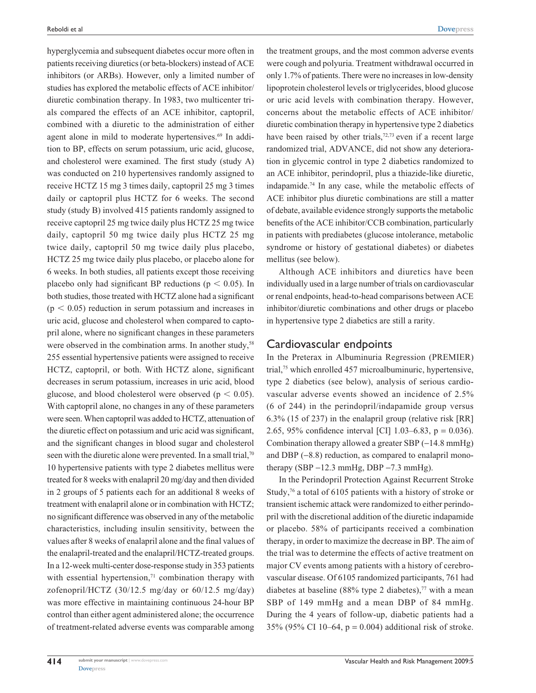hyperglycemia and subsequent diabetes occur more often in patients receiving diuretics (or beta-blockers) instead of ACE inhibitors (or ARBs). However, only a limited number of studies has explored the metabolic effects of ACE inhibitor/ diuretic combination therapy. In 1983, two multicenter trials compared the effects of an ACE inhibitor, captopril, combined with a diuretic to the administration of either agent alone in mild to moderate hypertensives.<sup>69</sup> In addition to BP, effects on serum potassium, uric acid, glucose, and cholesterol were examined. The first study (study A) was conducted on 210 hypertensives randomly assigned to receive HCTZ 15 mg 3 times daily, captopril 25 mg 3 times daily or captopril plus HCTZ for 6 weeks. The second study (study B) involved 415 patients randomly assigned to receive captopril 25 mg twice daily plus HCTZ 25 mg twice daily, captopril 50 mg twice daily plus HCTZ 25 mg twice daily, captopril 50 mg twice daily plus placebo, HCTZ 25 mg twice daily plus placebo, or placebo alone for 6 weeks. In both studies, all patients except those receiving placebo only had significant BP reductions ( $p < 0.05$ ). In both studies, those treated with HCTZ alone had a significant  $(p < 0.05)$  reduction in serum potassium and increases in uric acid, glucose and cholesterol when compared to captopril alone, where no significant changes in these parameters were observed in the combination arms. In another study,<sup>58</sup> 255 essential hypertensive patients were assigned to receive HCTZ, captopril, or both. With HCTZ alone, significant decreases in serum potassium, increases in uric acid, blood glucose, and blood cholesterol were observed ( $p < 0.05$ ). With captopril alone, no changes in any of these parameters were seen. When captopril was added to HCTZ, attenuation of the diuretic effect on potassium and uric acid was significant, and the significant changes in blood sugar and cholesterol seen with the diuretic alone were prevented. In a small trial,<sup>70</sup> 10 hypertensive patients with type 2 diabetes mellitus were treated for 8 weeks with enalapril 20 mg/day and then divided in 2 groups of 5 patients each for an additional 8 weeks of treatment with enalapril alone or in combination with HCTZ; no significant difference was observed in any of the metabolic characteristics, including insulin sensitivity, between the values after 8 weeks of enalapril alone and the final values of the enalapril-treated and the enalapril/HCTZ-treated groups. In a 12-week multi-center dose-response study in 353 patients with essential hypertension, $71$  combination therapy with zofenopril/HCTZ (30/12.5 mg/day or 60/12.5 mg/day) was more effective in maintaining continuous 24-hour BP control than either agent administered alone; the occurrence of treatment-related adverse events was comparable among the treatment groups, and the most common adverse events were cough and polyuria. Treatment withdrawal occurred in only 1.7% of patients. There were no increases in low-density lipoprotein cholesterol levels or triglycerides, blood glucose or uric acid levels with combination therapy. However, concerns about the metabolic effects of ACE inhibitor/ diuretic combination therapy in hypertensive type 2 diabetics have been raised by other trials,<sup>72,73</sup> even if a recent large randomized trial, ADVANCE, did not show any deterioration in glycemic control in type 2 diabetics randomized to an ACE inhibitor, perindopril, plus a thiazide-like diuretic, indapamide.74 In any case, while the metabolic effects of ACE inhibitor plus diuretic combinations are still a matter of debate, available evidence strongly supports the metabolic benefits of the ACE inhibitor/CCB combination, particularly in patients with prediabetes (glucose intolerance, metabolic syndrome or history of gestational diabetes) or diabetes mellitus (see below).

Although ACE inhibitors and diuretics have been individually used in a large number of trials on cardiovascular or renal endpoints, head-to-head comparisons between ACE inhibitor/diuretic combinations and other drugs or placebo in hypertensive type 2 diabetics are still a rarity.

#### Cardiovascular endpoints

In the Preterax in Albuminuria Regression (PREMIER) trial,75 which enrolled 457 microalbuminuric, hypertensive, type 2 diabetics (see below), analysis of serious cardiovascular adverse events showed an incidence of 2.5% (6 of 244) in the perindopril/indapamide group versus 6.3% (15 of 237) in the enalapril group (relative risk [RR] 2.65, 95% confidence interval [CI] 1.03–6.83, p = 0.036). Combination therapy allowed a greater SBP  $(-14.8 \text{ mmHg})$ and DBP  $(-8.8)$  reduction, as compared to enalapril monotherapy (SBP  $-12.3$  mmHg, DBP  $-7.3$  mmHg).

In the Perindopril Protection Against Recurrent Stroke Study,<sup>76</sup> a total of 6105 patients with a history of stroke or transient ischemic attack were randomized to either perindopril with the discretional addition of the diuretic indapamide or placebo. 58% of participants received a combination therapy, in order to maximize the decrease in BP. The aim of the trial was to determine the effects of active treatment on major CV events among patients with a history of cerebrovascular disease. Of 6105 randomized participants, 761 had diabetes at baseline (88% type 2 diabetes),<sup>77</sup> with a mean SBP of 149 mmHg and a mean DBP of 84 mmHg. During the 4 years of follow-up, diabetic patients had a 35% (95% CI 10–64, p = 0.004) additional risk of stroke.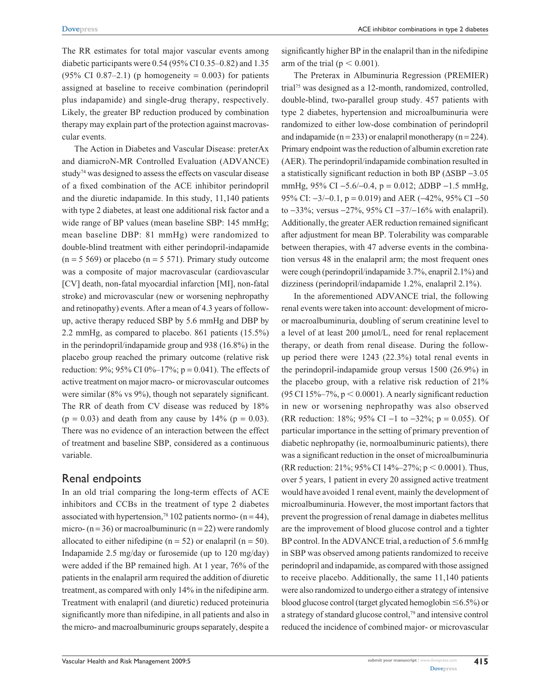The RR estimates for total major vascular events among diabetic participants were 0.54 (95% CI 0.35–0.82) and 1.35  $(95\% \text{ CI } 0.87-2.1)$  (p homogeneity = 0.003) for patients assigned at baseline to receive combination (perindopril plus indapamide) and single-drug therapy, respectively. Likely, the greater BP reduction produced by combination therapy may explain part of the protection against macrovascular events.

The Action in Diabetes and Vascular Disease: preterAx and diamicroN-MR Controlled Evaluation (ADVANCE) study<sup>74</sup> was designed to assess the effects on vascular disease of a fixed combination of the ACE inhibitor perindopril and the diuretic indapamide. In this study, 11,140 patients with type 2 diabetes, at least one additional risk factor and a wide range of BP values (mean baseline SBP: 145 mmHg; mean baseline DBP: 81 mmHg) were randomized to double-blind treatment with either perindopril-indapamide  $(n = 5 569)$  or placebo  $(n = 5 571)$ . Primary study outcome was a composite of major macrovascular (cardiovascular [CV] death, non-fatal myocardial infarction [MI], non-fatal stroke) and microvascular (new or worsening nephropathy and retinopathy) events. After a mean of 4.3 years of followup, active therapy reduced SBP by 5.6 mmHg and DBP by 2.2 mmHg, as compared to placebo. 861 patients (15.5%) in the perindopril/indapamide group and 938 (16.8%) in the placebo group reached the primary outcome (relative risk reduction: 9%; 95% CI 0%–17%; p = 0.041). The effects of active treatment on major macro- or microvascular outcomes were similar (8% vs 9%), though not separately significant. The RR of death from CV disease was reduced by 18%  $(p = 0.03)$  and death from any cause by 14%  $(p = 0.03)$ . There was no evidence of an interaction between the effect of treatment and baseline SBP, considered as a continuous variable.

#### Renal endpoints

In an old trial comparing the long-term effects of ACE inhibitors and CCBs in the treatment of type 2 diabetes associated with hypertension,<sup>78</sup> 102 patients normo-  $(n = 44)$ , micro-  $(n = 36)$  or macroalbuminuric  $(n = 22)$  were randomly allocated to either nifedipine  $(n = 52)$  or enalapril  $(n = 50)$ . Indapamide 2.5 mg/day or furosemide (up to 120 mg/day) were added if the BP remained high. At 1 year, 76% of the patients in the enalapril arm required the addition of diuretic treatment, as compared with only 14% in the nifedipine arm. Treatment with enalapril (and diuretic) reduced proteinuria significantly more than nifedipine, in all patients and also in the micro- and macroalbuminuric groups separately, despite a significantly higher BP in the enalapril than in the nifedipine arm of the trial ( $p < 0.001$ ).

The Preterax in Albuminuria Regression (PREMIER) trial75 was designed as a 12-month, randomized, controlled, double-blind, two-parallel group study. 457 patients with type 2 diabetes, hypertension and microalbuminuria were randomized to either low-dose combination of perindopril and indapamide ( $n = 233$ ) or enalapril monotherapy ( $n = 224$ ). Primary endpoint was the reduction of albumin excretion rate (AER). The perindopril/indapamide combination resulted in a statistically significant reduction in both BP (∆SBP -3.05 mmHg,  $95\%$  CI -5.6/-0.4, p = 0.012;  $\triangle$ DBP -1.5 mmHg, 95% CI:  $-3/-0.1$ , p = 0.019) and AER ( $-42\%$ , 95% CI  $-50$ to  $-33\%$ ; versus  $-27\%$ , 95% CI  $-37/-16\%$  with enalapril). Additionally, the greater AER reduction remained significant after adjustment for mean BP. Tolerability was comparable between therapies, with 47 adverse events in the combination versus 48 in the enalapril arm; the most frequent ones were cough (perindopril/indapamide 3.7%, enapril 2.1%) and dizziness (perindopril/indapamide 1.2%, enalapril 2.1%).

In the aforementioned ADVANCE trial, the following renal events were taken into account: development of microor macroalbuminuria, doubling of serum creatinine level to a level of at least 200 µmol/L, need for renal replacement therapy, or death from renal disease. During the followup period there were 1243 (22.3%) total renal events in the perindopril-indapamide group versus 1500 (26.9%) in the placebo group, with a relative risk reduction of 21% (95 CI 15%–7%,  $p < 0.0001$ ). A nearly significant reduction in new or worsening nephropathy was also observed (RR reduction: 18%; 95% CI -1 to -32%; p = 0.055). Of particular importance in the setting of primary prevention of diabetic nephropathy (ie, normoalbuminuric patients), there was a significant reduction in the onset of microalbuminuria (RR reduction: 21%; 95% CI 14%–27%;  $p < 0.0001$ ). Thus, over 5 years, 1 patient in every 20 assigned active treatment would have avoided 1 renal event, mainly the development of microalbuminuria. However, the most important factors that prevent the progression of renal damage in diabetes mellitus are the improvement of blood glucose control and a tighter BP control. In the ADVANCE trial, a reduction of 5.6 mmHg in SBP was observed among patients randomized to receive perindopril and indapamide, as compared with those assigned to receive placebo. Additionally, the same 11,140 patients were also randomized to undergo either a strategy of intensive blood glucose control (target glycated hemoglobin  $\leq 6.5\%$ ) or a strategy of standard glucose control,79 and intensive control reduced the incidence of combined major- or microvascular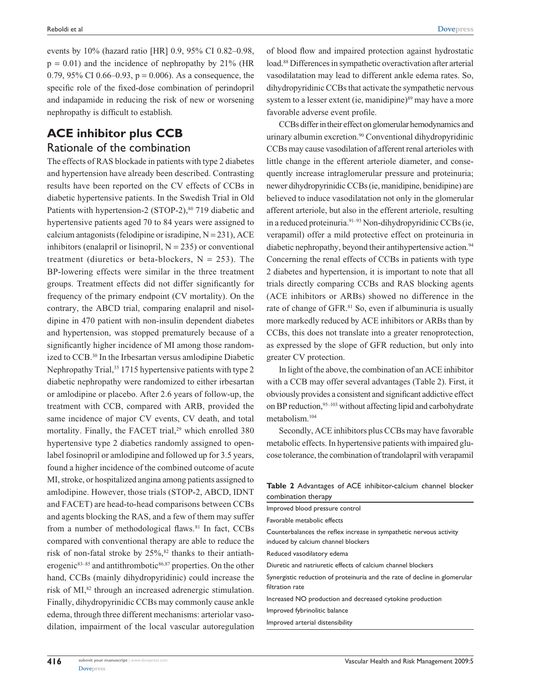events by 10% (hazard ratio [HR] 0.9, 95% CI 0.82–0.98,  $p = 0.01$ ) and the incidence of nephropathy by 21% (HR 0.79, 95% CI 0.66–0.93,  $p = 0.006$ ). As a consequence, the specific role of the fixed-dose combination of perindopril and indapamide in reducing the risk of new or worsening nephropathy is difficult to establish.

## **ACE inhibitor plus CCB** Rationale of the combination

The effects of RAS blockade in patients with type 2 diabetes and hypertension have already been described. Contrasting results have been reported on the CV effects of CCBs in diabetic hypertensive patients. In the Swedish Trial in Old Patients with hypertension-2 (STOP-2),<sup>80</sup> 719 diabetic and hypertensive patients aged 70 to 84 years were assigned to calcium antagonists (felodipine or isradipine,  $N = 231$ ), ACE inhibitors (enalapril or lisinopril,  $N = 235$ ) or conventional treatment (diuretics or beta-blockers,  $N = 253$ ). The BP-lowering effects were similar in the three treatment groups. Treatment effects did not differ significantly for frequency of the primary endpoint (CV mortality). On the contrary, the ABCD trial, comparing enalapril and nisoldipine in 470 patient with non-insulin dependent diabetes and hypertension, was stopped prematurely because of a significantly higher incidence of MI among those randomized to CCB.30 In the Irbesartan versus amlodipine Diabetic Nephropathy Trial,<sup>35</sup> 1715 hypertensive patients with type 2 diabetic nephropathy were randomized to either irbesartan or amlodipine or placebo. After 2.6 years of follow-up, the treatment with CCB, compared with ARB, provided the same incidence of major CV events, CV death, and total mortality. Finally, the FACET trial,<sup>29</sup> which enrolled 380 hypertensive type 2 diabetics randomly assigned to openlabel fosinopril or amlodipine and followed up for 3.5 years, found a higher incidence of the combined outcome of acute MI, stroke, or hospitalized angina among patients assigned to amlodipine. However, those trials (STOP-2, ABCD, IDNT and FACET) are head-to-head comparisons between CCBs and agents blocking the RAS, and a few of them may suffer from a number of methodological flaws.<sup>81</sup> In fact, CCBs compared with conventional therapy are able to reduce the risk of non-fatal stroke by  $25\%$ ,<sup>82</sup> thanks to their antiatherogenic $83-85$  and antithrombotic  $86,87$  properties. On the other hand, CCBs (mainly dihydropyridinic) could increase the risk of MI,<sup>82</sup> through an increased adrenergic stimulation. Finally, dihydropyrinidic CCBs may commonly cause ankle edema, through three different mechanisms: arteriolar vasodilation, impairment of the local vascular autoregulation of blood flow and impaired protection against hydrostatic load.88 Differences in sympathetic overactivation after arterial vasodilatation may lead to different ankle edema rates. So, dihydropyridinic CCBs that activate the sympathetic nervous system to a lesser extent (ie, manidipine)<sup>89</sup> may have a more favorable adverse event profile.

CCBs differ in their effect on glomerular hemodynamics and urinary albumin excretion.90 Conventional dihydropyridinic CCBs may cause vasodilation of afferent renal arterioles with little change in the efferent arteriole diameter, and consequently increase intraglomerular pressure and proteinuria; newer dihydropyrinidic CCBs (ie, manidipine, benidipine) are believed to induce vasodilatation not only in the glomerular afferent arteriole, but also in the efferent arteriole, resulting in a reduced proteinuria.91–93 Non-dihydropyridinic CCBs (ie, verapamil) offer a mild protective effect on proteinuria in diabetic nephropathy, beyond their antihypertensive action.<sup>94</sup> Concerning the renal effects of CCBs in patients with type 2 diabetes and hypertension, it is important to note that all trials directly comparing CCBs and RAS blocking agents (ACE inhibitors or ARBs) showed no difference in the rate of change of GFR.81 So, even if albuminuria is usually more markedly reduced by ACE inhibitors or ARBs than by CCBs, this does not translate into a greater renoprotection, as expressed by the slope of GFR reduction, but only into greater CV protection.

In light of the above, the combination of an ACE inhibitor with a CCB may offer several advantages (Table 2). First, it obviously provides a consistent and significant addictive effect on BP reduction, <sup>95–103</sup> without affecting lipid and carbohydrate metabolism.104

Secondly, ACE inhibitors plus CCBs may have favorable metabolic effects. In hypertensive patients with impaired glucose tolerance, the combination of trandolapril with verapamil

**Table 2** Advantages of ACE inhibitor-calcium channel blocker combination therapy

| Improved blood pressure control                                                                            |
|------------------------------------------------------------------------------------------------------------|
| Favorable metabolic effects                                                                                |
| Counterbalances the reflex increase in sympathetic nervous activity<br>induced by calcium channel blockers |
| Reduced vasodilatory edema                                                                                 |
| Diuretic and natriuretic effects of calcium channel blockers                                               |
| Synergistic reduction of proteinuria and the rate of decline in glomerular<br>filtration rate              |
| Increased NO production and decreased cytokine production                                                  |
| Improved fybrinolitic balance                                                                              |
| Improved arterial distensibility                                                                           |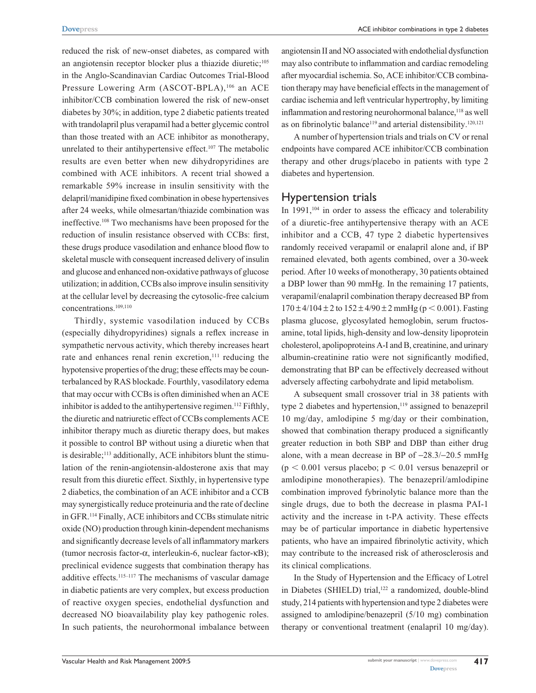reduced the risk of new-onset diabetes, as compared with an angiotensin receptor blocker plus a thiazide diuretic;<sup>105</sup> in the Anglo-Scandinavian Cardiac Outcomes Trial-Blood Pressure Lowering Arm (ASCOT-BPLA),<sup>106</sup> an ACE inhibitor/CCB combination lowered the risk of new-onset diabetes by 30%; in addition, type 2 diabetic patients treated with trandolapril plus verapamil had a better glycemic control than those treated with an ACE inhibitor as monotherapy, unrelated to their antihypertensive effect.<sup>107</sup> The metabolic results are even better when new dihydropyridines are combined with ACE inhibitors. A recent trial showed a remarkable 59% increase in insulin sensitivity with the delapril/manidipine fixed combination in obese hypertensives after 24 weeks, while olmesartan/thiazide combination was ineffective.108 Two mechanisms have been proposed for the reduction of insulin resistance observed with CCBs: first, these drugs produce vasodilation and enhance blood flow to skeletal muscle with consequent increased delivery of insulin and glucose and enhanced non-oxidative pathways of glucose utilization; in addition, CCBs also improve insulin sensitivity at the cellular level by decreasing the cytosolic-free calcium concentrations.109,110

Thirdly, systemic vasodilation induced by CCBs (especially dihydropyridines) signals a reflex increase in sympathetic nervous activity, which thereby increases heart rate and enhances renal renin excretion,<sup>111</sup> reducing the hypotensive properties of the drug; these effects may be counterbalanced by RAS blockade. Fourthly, vasodilatory edema that may occur with CCBs is often diminished when an ACE inhibitor is added to the antihypertensive regimen.<sup>112</sup> Fifthly, the diuretic and natriuretic effect of CCBs complements ACE inhibitor therapy much as diuretic therapy does, but makes it possible to control BP without using a diuretic when that is desirable;<sup>113</sup> additionally, ACE inhibitors blunt the stimulation of the renin-angiotensin-aldosterone axis that may result from this diuretic effect. Sixthly, in hypertensive type 2 diabetics, the combination of an ACE inhibitor and a CCB may synergistically reduce proteinuria and the rate of decline in GFR.114 Finally, ACE inhibitors and CCBs stimulate nitric oxide (NO) production through kinin-dependent mechanisms and significantly decrease levels of all inflammatory markers (tumor necrosis factor-α, interleukin-6, nuclear factor-κB); preclinical evidence suggests that combination therapy has additive effects.<sup>115–117</sup> The mechanisms of vascular damage in diabetic patients are very complex, but excess production of reactive oxygen species, endothelial dysfunction and decreased NO bioavailability play key pathogenic roles. In such patients, the neurohormonal imbalance between angiotensin II and NO associated with endothelial dysfunction may also contribute to inflammation and cardiac remodeling after myocardial ischemia. So, ACE inhibitor/CCB combination therapy may have beneficial effects in the management of cardiac ischemia and left ventricular hypertrophy, by limiting inflammation and restoring neurohormonal balance,<sup>118</sup> as well as on fibrinolytic balance<sup>119</sup> and arterial distensibility.<sup>120,121</sup>

A number of hypertension trials and trials on CV or renal endpoints have compared ACE inhibitor/CCB combination therapy and other drugs/placebo in patients with type 2 diabetes and hypertension.

#### Hypertension trials

In  $1991$ ,<sup>104</sup> in order to assess the efficacy and tolerability of a diuretic-free antihypertensive therapy with an ACE inhibitor and a CCB, 47 type 2 diabetic hypertensives randomly received verapamil or enalapril alone and, if BP remained elevated, both agents combined, over a 30-week period. After 10 weeks of monotherapy, 30 patients obtained a DBP lower than 90 mmHg. In the remaining 17 patients, verapamil/enalapril combination therapy decreased BP from  $170 \pm 4/104 \pm 2$  to  $152 \pm 4/90 \pm 2$  mmHg (p < 0.001). Fasting plasma glucose, glycosylated hemoglobin, serum fructosamine, total lipids, high-density and low-density lipoprotein cholesterol, apolipoproteins A-I and B, creatinine, and urinary albumin-creatinine ratio were not significantly modified, demonstrating that BP can be effectively decreased without adversely affecting carbohydrate and lipid metabolism.

A subsequent small crossover trial in 38 patients with type 2 diabetes and hypertension,<sup>119</sup> assigned to benazepril 10 mg/day, amlodipine 5 mg/day or their combination, showed that combination therapy produced a significantly greater reduction in both SBP and DBP than either drug alone, with a mean decrease in BP of  $-28.3/-20.5$  mmHg  $(p < 0.001$  versus placebo;  $p < 0.01$  versus benazepril or amlodipine monotherapies). The benazepril/amlodipine combination improved fybrinolytic balance more than the single drugs, due to both the decrease in plasma PAI-1 activity and the increase in t-PA activity. These effects may be of particular importance in diabetic hypertensive patients, who have an impaired fibrinolytic activity, which may contribute to the increased risk of atherosclerosis and its clinical complications.

In the Study of Hypertension and the Efficacy of Lotrel in Diabetes (SHIELD) trial,<sup>122</sup> a randomized, double-blind study, 214 patients with hypertension and type 2 diabetes were assigned to amlodipine/benazepril (5/10 mg) combination therapy or conventional treatment (enalapril 10 mg/day).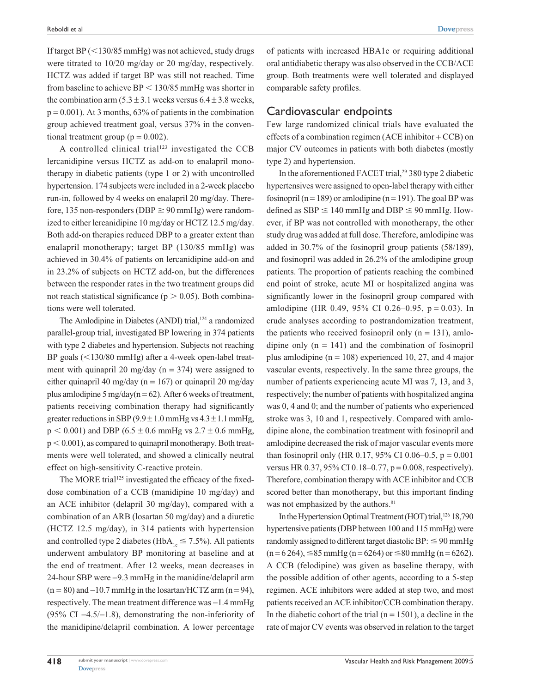If target BP  $(<$ 130/85 mmHg) was not achieved, study drugs were titrated to 10/20 mg/day or 20 mg/day, respectively. HCTZ was added if target BP was still not reached. Time from baseline to achieve  $BP < 130/85$  mmHg was shorter in the combination arm  $(5.3 \pm 3.1$  weeks versus  $6.4 \pm 3.8$  weeks,  $p = 0.001$ ). At 3 months, 63% of patients in the combination group achieved treatment goal, versus 37% in the conventional treatment group ( $p = 0.002$ ).

A controlled clinical trial<sup>123</sup> investigated the CCB lercanidipine versus HCTZ as add-on to enalapril monotherapy in diabetic patients (type 1 or 2) with uncontrolled hypertension. 174 subjects were included in a 2-week placebo run-in, followed by 4 weeks on enalapril 20 mg/day. Therefore, 135 non-responders (DBP  $\geq$  90 mmHg) were randomized to either lercanidipine 10 mg/day or HCTZ 12.5 mg/day. Both add-on therapies reduced DBP to a greater extent than enalapril monotherapy; target BP (130/85 mmHg) was achieved in 30.4% of patients on lercanidipine add-on and in 23.2% of subjects on HCTZ add-on, but the differences between the responder rates in the two treatment groups did not reach statistical significance ( $p > 0.05$ ). Both combinations were well tolerated.

The Amlodipine in Diabetes (ANDI) trial,<sup>124</sup> a randomized parallel-group trial, investigated BP lowering in 374 patients with type 2 diabetes and hypertension. Subjects not reaching BP goals  $(<130/80$  mmHg) after a 4-week open-label treatment with quinapril 20 mg/day ( $n = 374$ ) were assigned to either quinapril 40 mg/day ( $n = 167$ ) or quinapril 20 mg/day plus amlodipine 5 mg/day( $n = 62$ ). After 6 weeks of treatment, patients receiving combination therapy had significantly greater reductions in SBP ( $9.9 \pm 1.0$  mmHg vs  $4.3 \pm 1.1$  mmHg,  $p < 0.001$ ) and DBP (6.5  $\pm$  0.6 mmHg vs 2.7  $\pm$  0.6 mmHg,  $p < 0.001$ ), as compared to quinapril monotherapy. Both treatments were well tolerated, and showed a clinically neutral effect on high-sensitivity C-reactive protein.

The MORE trial<sup>125</sup> investigated the efficacy of the fixeddose combination of a CCB (manidipine 10 mg/day) and an ACE inhibitor (delapril 30 mg/day), compared with a combination of an ARB (losartan 50 mg/day) and a diuretic (HCTZ 12.5 mg/day), in 314 patients with hypertension and controlled type 2 diabetes (HbA<sub>1c</sub>  $\leq$  7.5%). All patients underwent ambulatory BP monitoring at baseline and at the end of treatment. After 12 weeks, mean decreases in 24-hour SBP were -9.3 mmHg in the manidine/delapril arm  $(n = 80)$  and  $-10.7$  mmHg in the losartan/HCTZ arm  $(n = 94)$ , respectively. The mean treatment difference was  $-1.4$  mmHg (95% CI  $-4.5/-1.8$ ), demonstrating the non-inferiority of the manidipine/delapril combination. A lower percentage of patients with increased HBA1c or requiring additional oral antidiabetic therapy was also observed in the CCB/ACE group. Both treatments were well tolerated and displayed comparable safety profiles.

#### Cardiovascular endpoints

Few large randomized clinical trials have evaluated the effects of a combination regimen (ACE inhibitor + CCB) on major CV outcomes in patients with both diabetes (mostly type 2) and hypertension.

In the aforementioned FACET trial,<sup>29</sup> 380 type 2 diabetic hypertensives were assigned to open-label therapy with either fosinopril (n = 189) or amlodipine (n = 191). The goal BP was defined as  $SBP \le 140$  mmHg and  $DBP \le 90$  mmHg. However, if BP was not controlled with monotherapy, the other study drug was added at full dose. Therefore, amlodipine was added in 30.7% of the fosinopril group patients (58/189), and fosinopril was added in 26.2% of the amlodipine group patients. The proportion of patients reaching the combined end point of stroke, acute MI or hospitalized angina was significantly lower in the fosinopril group compared with amlodipine (HR 0.49, 95% CI 0.26–0.95,  $p = 0.03$ ). In crude analyses according to postrandomization treatment, the patients who received fosinopril only  $(n = 131)$ , amlodipine only  $(n = 141)$  and the combination of fosinopril plus amlodipine ( $n = 108$ ) experienced 10, 27, and 4 major vascular events, respectively. In the same three groups, the number of patients experiencing acute MI was 7, 13, and 3, respectively; the number of patients with hospitalized angina was 0, 4 and 0; and the number of patients who experienced stroke was 3, 10 and 1, respectively. Compared with amlodipine alone, the combination treatment with fosinopril and amlodipine decreased the risk of major vascular events more than fosinopril only (HR 0.17, 95% CI 0.06–0.5,  $p = 0.001$ versus HR 0.37, 95% CI 0.18–0.77, p = 0.008, respectively). Therefore, combination therapy with ACE inhibitor and CCB scored better than monotherapy, but this important finding was not emphasized by the authors.<sup>81</sup>

In the Hypertension Optimal Treatment (HOT) trial,<sup>126</sup> 18,790 hypertensive patients (DBP between 100 and 115 mmHg) were randomly assigned to different target diastolic BP:  $\leq$  90 mmHg  $(n=6264)$ ,  $\leq$ 85 mmHg (n = 6264) or  $\leq$ 80 mmHg (n = 6262). A CCB (felodipine) was given as baseline therapy, with the possible addition of other agents, according to a 5-step regimen. ACE inhibitors were added at step two, and most patients received an ACE inhibitor/CCB combination therapy. In the diabetic cohort of the trial  $(n = 1501)$ , a decline in the rate of major CV events was observed in relation to the target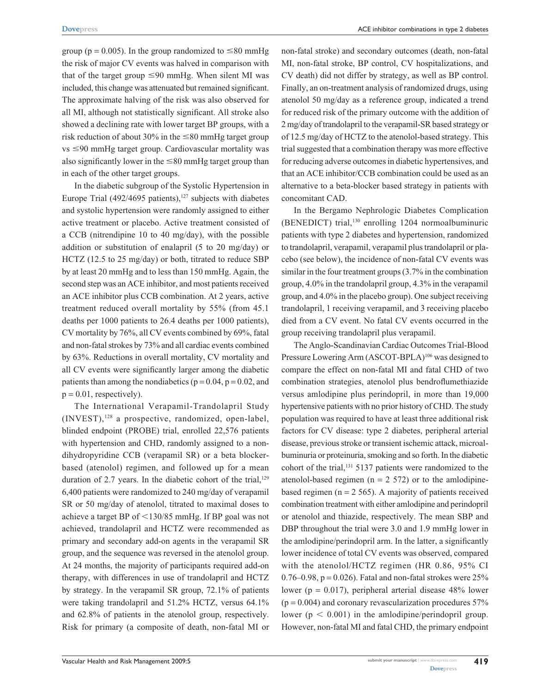group ( $p = 0.005$ ). In the group randomized to  $\leq 80$  mmHg the risk of major CV events was halved in comparison with that of the target group  $\leq 90$  mmHg. When silent MI was included, this change was attenuated but remained significant. The approximate halving of the risk was also observed for all MI, although not statistically significant. All stroke also showed a declining rate with lower target BP groups, with a risk reduction of about 30% in the  $\leq 80$  mmHg target group  $vs \leq 90$  mmHg target group. Cardiovascular mortality was also significantly lower in the  $\leq 80$  mmHg target group than in each of the other target groups.

In the diabetic subgroup of the Systolic Hypertension in Europe Trial  $(492/4695 \text{ patients})$ ,<sup>127</sup> subjects with diabetes and systolic hypertension were randomly assigned to either active treatment or placebo. Active treatment consisted of a CCB (nitrendipine 10 to 40 mg/day), with the possible addition or substitution of enalapril (5 to 20 mg/day) or HCTZ (12.5 to 25 mg/day) or both, titrated to reduce SBP by at least 20 mmHg and to less than 150 mmHg. Again, the second step was an ACE inhibitor, and most patients received an ACE inhibitor plus CCB combination. At 2 years, active treatment reduced overall mortality by 55% (from 45.1 deaths per 1000 patients to 26.4 deaths per 1000 patients), CV mortality by 76%, all CV events combined by 69%, fatal and non-fatal strokes by 73% and all cardiac events combined by 63%. Reductions in overall mortality, CV mortality and all CV events were significantly larger among the diabetic patients than among the nondiabetics ( $p = 0.04$ ,  $p = 0.02$ , and  $p = 0.01$ , respectively).

The International Verapamil-Trandolapril Study  $(INVEST)$ ,<sup>128</sup> a prospective, randomized, open-label, blinded endpoint (PROBE) trial, enrolled 22,576 patients with hypertension and CHD, randomly assigned to a nondihydropyridine CCB (verapamil SR) or a beta blockerbased (atenolol) regimen, and followed up for a mean duration of 2.7 years. In the diabetic cohort of the trial, $129$ 6,400 patients were randomized to 240 mg/day of verapamil SR or 50 mg/day of atenolol, titrated to maximal doses to achieve a target BP of  $\leq$ 130/85 mmHg. If BP goal was not achieved, trandolapril and HCTZ were recommended as primary and secondary add-on agents in the verapamil SR group, and the sequence was reversed in the atenolol group. At 24 months, the majority of participants required add-on therapy, with differences in use of trandolapril and HCTZ by strategy. In the verapamil SR group, 72.1% of patients were taking trandolapril and 51.2% HCTZ, versus 64.1% and 62.8% of patients in the atenolol group, respectively. Risk for primary (a composite of death, non-fatal MI or non-fatal stroke) and secondary outcomes (death, non-fatal MI, non-fatal stroke, BP control, CV hospitalizations, and CV death) did not differ by strategy, as well as BP control. Finally, an on-treatment analysis of randomized drugs, using atenolol 50 mg/day as a reference group, indicated a trend for reduced risk of the primary outcome with the addition of 2 mg/day of trandolapril to the verapamil-SR based strategy or of 12.5 mg/day of HCTZ to the atenolol-based strategy. This trial suggested that a combination therapy was more effective for reducing adverse outcomes in diabetic hypertensives, and that an ACE inhibitor/CCB combination could be used as an alternative to a beta-blocker based strategy in patients with concomitant CAD.

In the Bergamo Nephrologic Diabetes Complication (BENEDICT) trial,130 enrolling 1204 normoalbuminuric patients with type 2 diabetes and hypertension, randomized to trandolapril, verapamil, verapamil plus trandolapril or placebo (see below), the incidence of non-fatal CV events was similar in the four treatment groups (3.7% in the combination group, 4.0% in the trandolapril group, 4.3% in the verapamil group, and 4.0% in the placebo group). One subject receiving trandolapril, 1 receiving verapamil, and 3 receiving placebo died from a CV event. No fatal CV events occurred in the group receiving trandolapril plus verapamil.

The Anglo-Scandinavian Cardiac Outcomes Trial-Blood Pressure Lowering Arm (ASCOT-BPLA)<sup>106</sup> was designed to compare the effect on non-fatal MI and fatal CHD of two combination strategies, atenolol plus bendroflumethiazide versus amlodipine plus perindopril, in more than 19,000 hypertensive patients with no prior history of CHD. The study population was required to have at least three additional risk factors for CV disease: type 2 diabetes, peripheral arterial disease, previous stroke or transient ischemic attack, microalbuminuria or proteinuria, smoking and so forth. In the diabetic cohort of the trial,131 5137 patients were randomized to the atenolol-based regimen ( $n = 2572$ ) or to the amlodipinebased regimen ( $n = 2565$ ). A majority of patients received combination treatment with either amlodipine and perindopril or atenolol and thiazide, respectively. The mean SBP and DBP throughout the trial were 3.0 and 1.9 mmHg lower in the amlodipine/perindopril arm. In the latter, a significantly lower incidence of total CV events was observed, compared with the atenolol/HCTZ regimen (HR 0.86, 95% CI  $0.76-0.98$ ,  $p = 0.026$ ). Fatal and non-fatal strokes were  $25%$ lower ( $p = 0.017$ ), peripheral arterial disease 48% lower  $(p = 0.004)$  and coronary revascularization procedures 57% lower ( $p < 0.001$ ) in the amlodipine/perindopril group. However, non-fatal MI and fatal CHD, the primary endpoint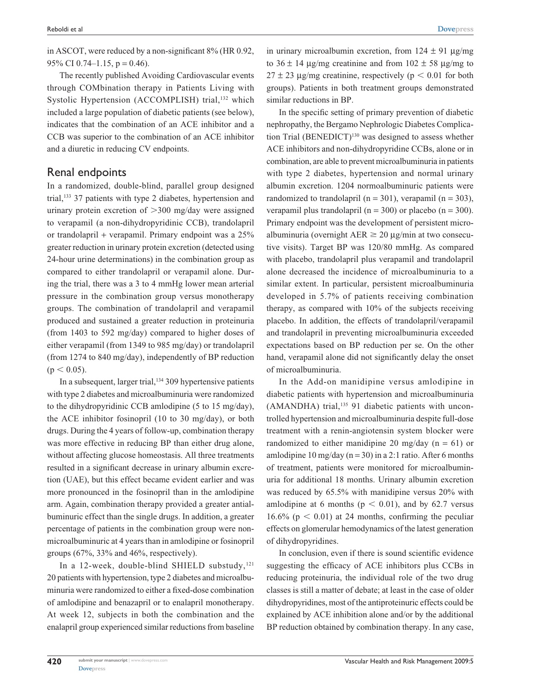in ASCOT, were reduced by a non-significant 8% (HR 0.92, 95% CI 0.74–1.15,  $p = 0.46$ ).

The recently published Avoiding Cardiovascular events through COMbination therapy in Patients Living with Systolic Hypertension (ACCOMPLISH) trial,<sup>132</sup> which included a large population of diabetic patients (see below), indicates that the combination of an ACE inhibitor and a CCB was superior to the combination of an ACE inhibitor and a diuretic in reducing CV endpoints.

#### Renal endpoints

In a randomized, double-blind, parallel group designed trial,133 37 patients with type 2 diabetes, hypertension and urinary protein excretion of  $>300$  mg/day were assigned to verapamil (a non-dihydropyridinic CCB), trandolapril or trandolapril + verapamil. Primary endpoint was a 25% greater reduction in urinary protein excretion (detected using 24-hour urine determinations) in the combination group as compared to either trandolapril or verapamil alone. During the trial, there was a 3 to 4 mmHg lower mean arterial pressure in the combination group versus monotherapy groups. The combination of trandolapril and verapamil produced and sustained a greater reduction in proteinuria (from 1403 to 592 mg/day) compared to higher doses of either verapamil (from 1349 to 985 mg/day) or trandolapril (from 1274 to 840 mg/day), independently of BP reduction  $(p < 0.05)$ .

In a subsequent, larger trial,  $134$  309 hypertensive patients with type 2 diabetes and microalbuminuria were randomized to the dihydropyridinic CCB amlodipine (5 to 15 mg/day), the ACE inhibitor fosinopril (10 to 30 mg/day), or both drugs. During the 4 years of follow-up, combination therapy was more effective in reducing BP than either drug alone, without affecting glucose homeostasis. All three treatments resulted in a significant decrease in urinary albumin excretion (UAE), but this effect became evident earlier and was more pronounced in the fosinopril than in the amlodipine arm. Again, combination therapy provided a greater antialbuminuric effect than the single drugs. In addition, a greater percentage of patients in the combination group were nonmicroalbuminuric at 4 years than in amlodipine or fosinopril groups (67%, 33% and 46%, respectively).

In a 12-week, double-blind SHIELD substudy, $121$ 20 patients with hypertension, type 2 diabetes and microalbuminuria were randomized to either a fixed-dose combination of amlodipine and benazapril or to enalapril monotherapy. At week 12, subjects in both the combination and the enalapril group experienced similar reductions from baseline

in urinary microalbumin excretion, from  $124 \pm 91$  ug/mg to  $36 \pm 14$  µg/mg creatinine and from  $102 \pm 58$  µg/mg to  $27 \pm 23$  µg/mg creatinine, respectively (p < 0.01 for both groups). Patients in both treatment groups demonstrated similar reductions in BP.

In the specific setting of primary prevention of diabetic nephropathy, the Bergamo Nephrologic Diabetes Complication Trial (BENEDICT)<sup>130</sup> was designed to assess whether ACE inhibitors and non-dihydropyridine CCBs, alone or in combination, are able to prevent microalbuminuria in patients with type 2 diabetes, hypertension and normal urinary albumin excretion. 1204 normoalbuminuric patients were randomized to trandolapril (n = 301), verapamil (n = 303), verapamil plus trandolapril ( $n = 300$ ) or placebo ( $n = 300$ ). Primary endpoint was the development of persistent microalbuminuria (overnight  $AER \ge 20 \mu g/min$  at two consecutive visits). Target BP was 120/80 mmHg. As compared with placebo, trandolapril plus verapamil and trandolapril alone decreased the incidence of microalbuminuria to a similar extent. In particular, persistent microalbuminuria developed in 5.7% of patients receiving combination therapy, as compared with 10% of the subjects receiving placebo. In addition, the effects of trandolapril/verapamil and trandolapril in preventing microalbuminuria exceeded expectations based on BP reduction per se. On the other hand, verapamil alone did not significantly delay the onset of microalbuminuria.

In the Add-on manidipine versus amlodipine in diabetic patients with hypertension and microalbuminuria (AMANDHA) trial,<sup>135</sup> 91 diabetic patients with uncontrolled hypertension and microalbuminuria despite full-dose treatment with a renin-angiotensin system blocker were randomized to either manidipine 20 mg/day ( $n = 61$ ) or amlodipine 10 mg/day ( $n = 30$ ) in a 2:1 ratio. After 6 months of treatment, patients were monitored for microalbuminuria for additional 18 months. Urinary albumin excretion was reduced by 65.5% with manidipine versus 20% with amlodipine at 6 months ( $p < 0.01$ ), and by 62.7 versus 16.6% ( $p < 0.01$ ) at 24 months, confirming the peculiar effects on glomerular hemodynamics of the latest generation of dihydropyridines.

In conclusion, even if there is sound scientific evidence suggesting the efficacy of ACE inhibitors plus CCBs in reducing proteinuria, the individual role of the two drug classes is still a matter of debate; at least in the case of older dihydropyridines, most of the antiproteinuric effects could be explained by ACE inhibition alone and/or by the additional BP reduction obtained by combination therapy. In any case,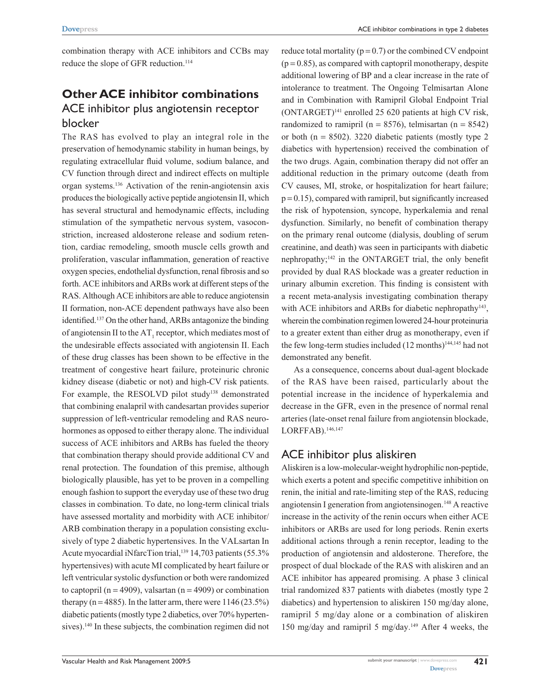combination therapy with ACE inhibitors and CCBs may reduce the slope of GFR reduction.<sup>114</sup>

## **Other ACE inhibitor combinations** ACE inhibitor plus angiotensin receptor blocker

The RAS has evolved to play an integral role in the preservation of hemodynamic stability in human beings, by regulating extracellular fluid volume, sodium balance, and CV function through direct and indirect effects on multiple organ systems.136 Activation of the renin-angiotensin axis produces the biologically active peptide angiotensin II, which has several structural and hemodynamic effects, including stimulation of the sympathetic nervous system, vasoconstriction, increased aldosterone release and sodium retention, cardiac remodeling, smooth muscle cells growth and proliferation, vascular inflammation, generation of reactive oxygen species, endothelial dysfunction, renal fibrosis and so forth. ACE inhibitors and ARBs work at different steps of the RAS. Although ACE inhibitors are able to reduce angiotensin II formation, non-ACE dependent pathways have also been identified.137 On the other hand, ARBs antagonize the binding of angiotensin II to the  $AT_1$  receptor, which mediates most of the undesirable effects associated with angiotensin II. Each of these drug classes has been shown to be effective in the treatment of congestive heart failure, proteinuric chronic kidney disease (diabetic or not) and high-CV risk patients. For example, the RESOLVD pilot study<sup>138</sup> demonstrated that combining enalapril with candesartan provides superior suppression of left-ventricular remodeling and RAS neurohormones as opposed to either therapy alone. The individual success of ACE inhibitors and ARBs has fueled the theory that combination therapy should provide additional CV and renal protection. The foundation of this premise, although biologically plausible, has yet to be proven in a compelling enough fashion to support the everyday use of these two drug classes in combination. To date, no long-term clinical trials have assessed mortality and morbidity with ACE inhibitor/ ARB combination therapy in a population consisting exclusively of type 2 diabetic hypertensives. In the VALsartan In Acute myocardial iNfarcTion trial,<sup>139</sup> 14,703 patients (55.3%) hypertensives) with acute MI complicated by heart failure or left ventricular systolic dysfunction or both were randomized to captopril ( $n = 4909$ ), valsartan ( $n = 4909$ ) or combination therapy ( $n = 4885$ ). In the latter arm, there were  $1146 (23.5%)$ diabetic patients (mostly type 2 diabetics, over 70% hypertensives).<sup>140</sup> In these subjects, the combination regimen did not

reduce total mortality ( $p = 0.7$ ) or the combined CV endpoint  $(p = 0.85)$ , as compared with captopril monotherapy, despite additional lowering of BP and a clear increase in the rate of intolerance to treatment. The Ongoing Telmisartan Alone and in Combination with Ramipril Global Endpoint Trial (ONTARGET)141 enrolled 25 620 patients at high CV risk, randomized to ramipril ( $n = 8576$ ), telmisartan ( $n = 8542$ ) or both  $(n = 8502)$ . 3220 diabetic patients (mostly type 2) diabetics with hypertension) received the combination of the two drugs. Again, combination therapy did not offer an additional reduction in the primary outcome (death from CV causes, MI, stroke, or hospitalization for heart failure;  $p = 0.15$ ), compared with ramipril, but significantly increased the risk of hypotension, syncope, hyperkalemia and renal dysfunction. Similarly, no benefit of combination therapy on the primary renal outcome (dialysis, doubling of serum creatinine, and death) was seen in participants with diabetic nephropathy;142 in the ONTARGET trial, the only benefit provided by dual RAS blockade was a greater reduction in urinary albumin excretion. This finding is consistent with a recent meta-analysis investigating combination therapy with ACE inhibitors and ARBs for diabetic nephropathy<sup>143</sup>, wherein the combination regimen lowered 24-hour proteinuria to a greater extent than either drug as monotherapy, even if the few long-term studies included  $(12 \text{ months})^{144,145}$  had not demonstrated any benefit.

As a consequence, concerns about dual-agent blockade of the RAS have been raised, particularly about the potential increase in the incidence of hyperkalemia and decrease in the GFR, even in the presence of normal renal arteries (late-onset renal failure from angiotensin blockade, LORFFAB).<sup>146,147</sup>

### ACE inhibitor plus aliskiren

Aliskiren is a low-molecular-weight hydrophilic non-peptide, which exerts a potent and specific competitive inhibition on renin, the initial and rate-limiting step of the RAS, reducing angiotensin I generation from angiotensinogen.<sup>148</sup> A reactive increase in the activity of the renin occurs when either ACE inhibitors or ARBs are used for long periods. Renin exerts additional actions through a renin receptor, leading to the production of angiotensin and aldosterone. Therefore, the prospect of dual blockade of the RAS with aliskiren and an ACE inhibitor has appeared promising. A phase 3 clinical trial randomized 837 patients with diabetes (mostly type 2 diabetics) and hypertension to aliskiren 150 mg/day alone, ramipril 5 mg/day alone or a combination of aliskiren 150 mg/day and ramipril 5 mg/day.<sup>149</sup> After 4 weeks, the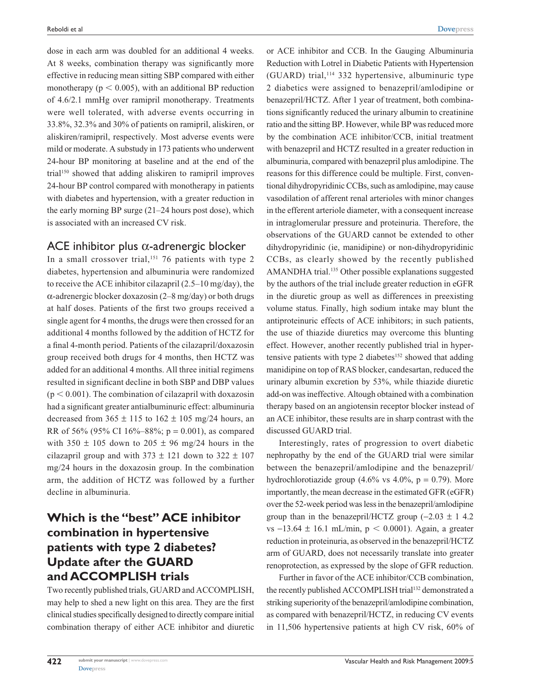dose in each arm was doubled for an additional 4 weeks. At 8 weeks, combination therapy was significantly more effective in reducing mean sitting SBP compared with either monotherapy ( $p < 0.005$ ), with an additional BP reduction of 4.6/2.1 mmHg over ramipril monotherapy. Treatments were well tolerated, with adverse events occurring in 33.8%, 32.3% and 30% of patients on ramipril, aliskiren, or aliskiren/ramipril, respectively. Most adverse events were mild or moderate. A substudy in 173 patients who underwent 24-hour BP monitoring at baseline and at the end of the trial150 showed that adding aliskiren to ramipril improves 24-hour BP control compared with monotherapy in patients with diabetes and hypertension, with a greater reduction in the early morning BP surge (21–24 hours post dose), which is associated with an increased CV risk.

### ACE inhibitor plus α-adrenergic blocker

In a small crossover trial,<sup>151</sup> 76 patients with type 2 diabetes, hypertension and albuminuria were randomized to receive the ACE inhibitor cilazapril (2.5–10 mg/day), the  $\alpha$ -adrenergic blocker doxazosin (2–8 mg/day) or both drugs at half doses. Patients of the first two groups received a single agent for 4 months, the drugs were then crossed for an additional 4 months followed by the addition of HCTZ for a final 4-month period. Patients of the cilazapril/doxazosin group received both drugs for 4 months, then HCTZ was added for an additional 4 months. All three initial regimens resulted in significant decline in both SBP and DBP values  $(p < 0.001)$ . The combination of cilazapril with doxazosin had a significant greater antialbuminuric effect: albuminuria decreased from  $365 \pm 115$  to  $162 \pm 105$  mg/24 hours, an RR of 56% (95% CI 16%–88%;  $p = 0.001$ ), as compared with  $350 \pm 105$  down to  $205 \pm 96$  mg/24 hours in the cilazapril group and with  $373 \pm 121$  down to  $322 \pm 107$ mg/24 hours in the doxazosin group. In the combination arm, the addition of HCTZ was followed by a further decline in albuminuria.

# **Which is the "best" ACE inhibitor combination in hypertensive patients with type 2 diabetes? Update after the GUARD and ACCOMPLISH trials**

Two recently published trials, GUARD and ACCOMPLISH, may help to shed a new light on this area. They are the first clinical studies specifically designed to directly compare initial combination therapy of either ACE inhibitor and diuretic or ACE inhibitor and CCB. In the Gauging Albuminuria Reduction with Lotrel in Diabetic Patients with Hypertension  $(GUARD)$  trial,<sup>114</sup> 332 hypertensive, albuminuric type 2 diabetics were assigned to benazepril/amlodipine or benazepril/HCTZ. After 1 year of treatment, both combinations significantly reduced the urinary albumin to creatinine ratio and the sitting BP. However, while BP was reduced more by the combination ACE inhibitor/CCB, initial treatment with benazepril and HCTZ resulted in a greater reduction in albuminuria, compared with benazepril plus amlodipine. The reasons for this difference could be multiple. First, conventional dihydropyridinic CCBs, such as amlodipine, may cause vasodilation of afferent renal arterioles with minor changes in the efferent arteriole diameter, with a consequent increase in intraglomerular pressure and proteinuria. Therefore, the observations of the GUARD cannot be extended to other dihydropyridinic (ie, manidipine) or non-dihydropyridinic CCBs, as clearly showed by the recently published AMANDHA trial.<sup>135</sup> Other possible explanations suggested by the authors of the trial include greater reduction in eGFR in the diuretic group as well as differences in preexisting volume status. Finally, high sodium intake may blunt the antiproteinuric effects of ACE inhibitors; in such patients, the use of thiazide diuretics may overcome this blunting effect. However, another recently published trial in hypertensive patients with type 2 diabetes<sup>152</sup> showed that adding manidipine on top of RAS blocker, candesartan, reduced the urinary albumin excretion by 53%, while thiazide diuretic add-on was ineffective. Altough obtained with a combination therapy based on an angiotensin receptor blocker instead of an ACE inhibitor, these results are in sharp contrast with the discussed GUARD trial.

Interestingly, rates of progression to overt diabetic nephropathy by the end of the GUARD trial were similar between the benazepril/amlodipine and the benazepril/ hydrochlorotiazide group  $(4.6\% \text{ vs } 4.0\%, \text{ p } = 0.79)$ . More importantly, the mean decrease in the estimated GFR (eGFR) over the 52-week period was less in the benazepril/amlodipine group than in the benazepril/HCTZ group  $(-2.03 \pm 1.4.2)$ vs  $-13.64 \pm 16.1$  mL/min,  $p < 0.0001$ ). Again, a greater reduction in proteinuria, as observed in the benazepril/HCTZ arm of GUARD, does not necessarily translate into greater renoprotection, as expressed by the slope of GFR reduction.

Further in favor of the ACE inhibitor/CCB combination, the recently published ACCOMPLISH trial<sup>132</sup> demonstrated a striking superiority of the benazepril/amlodipine combination, as compared with benazepril/HCTZ, in reducing CV events in 11,506 hypertensive patients at high CV risk, 60% of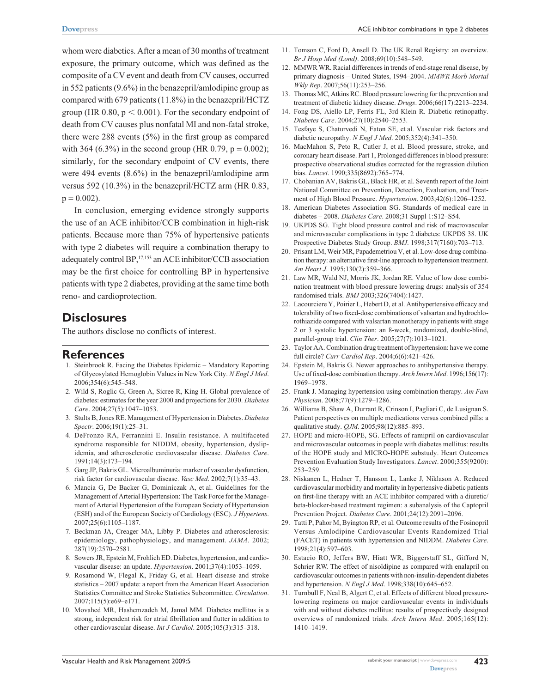whom were diabetics. After a mean of 30 months of treatment exposure, the primary outcome, which was defined as the composite of a CV event and death from CV causes, occurred in 552 patients (9.6%) in the benazepril/amlodipine group as compared with 679 patients (11.8%) in the benazepril/HCTZ group (HR 0.80,  $p < 0.001$ ). For the secondary endpoint of death from CV causes plus nonfatal MI and non-fatal stroke, there were 288 events (5%) in the first group as compared with 364 (6.3%) in the second group (HR 0.79,  $p = 0.002$ ); similarly, for the secondary endpoint of CV events, there were 494 events (8.6%) in the benazepril/amlodipine arm versus 592 (10.3%) in the benazepril/HCTZ arm (HR 0.83,  $p = 0.002$ ).

In conclusion, emerging evidence strongly supports the use of an ACE inhibitor/CCB combination in high-risk patients. Because more than 75% of hypertensive patients with type 2 diabetes will require a combination therapy to adequately control BP, 17,153 an ACE inhibitor/CCB association may be the first choice for controlling BP in hypertensive patients with type 2 diabetes, providing at the same time both reno- and cardioprotection.

#### **Disclosures**

The authors disclose no conflicts of interest.

### **References**

- 1. Steinbrook R. Facing the Diabetes Epidemic Mandatory Reporting of Glycosylated Hemoglobin Values in New York City. *N Engl J Med*. 2006;354(6):545–548.
- 2. Wild S, Roglic G, Green A, Sicree R, King H. Global prevalence of diabetes: estimates for the year 2000 and projections for 2030. *Diabetes Care*. 2004;27(5):1047–1053.
- 3. Stults B, Jones RE. Management of Hypertension in Diabetes. *Diabetes Spectr*. 2006;19(1):25–31.
- 4. DeFronzo RA, Ferrannini E. Insulin resistance. A multifaceted syndrome responsible for NIDDM, obesity, hypertension, dyslipidemia, and atherosclerotic cardiovascular disease. *Diabetes Care*. 1991;14(3):173–194.
- 5. Garg JP, Bakris GL. Microalbuminuria: marker of vascular dysfunction, risk factor for cardiovascular disease. *Vasc Med*. 2002;7(1):35–43.
- 6. Mancia G, De Backer G, Dominiczak A, et al. Guidelines for the Management of Arterial Hypertension: The Task Force for the Management of Arterial Hypertension of the European Society of Hypertension (ESH) and of the European Society of Cardiology (ESC). *J Hypertens*. 2007;25(6):1105–1187.
- 7. Beckman JA, Creager MA, Libby P. Diabetes and atherosclerosis: epidemiology, pathophysiology, and management. *JAMA*. 2002; 287(19):2570–2581.
- 8. Sowers JR, Epstein M, Frohlich ED. Diabetes, hypertension, and cardiovascular disease: an update. *Hypertension*. 2001;37(4):1053–1059.
- 9. Rosamond W, Flegal K, Friday G, et al. Heart disease and stroke statistics – 2007 update: a report from the American Heart Association Statistics Committee and Stroke Statistics Subcommittee. *Circulation*. 2007;115(5):e69–e171.
- 10. Movahed MR, Hashemzadeh M, Jamal MM. Diabetes mellitus is a strong, independent risk for atrial fibrillation and flutter in addition to other cardiovascular disease. *Int J Cardiol*. 2005;105(3):315–318.
- 11. Tomson C, Ford D, Ansell D. The UK Renal Registry: an overview. *Br J Hosp Med (Lond)*. 2008;69(10):548–549.
- 12. MMWR WR. Racial differences in trends of end-stage renal disease, by primary diagnosis – United States, 1994–2004. *MMWR Morb Mortal Wkly Rep*. 2007;56(11):253–256.
- 13. Thomas MC, Atkins RC. Blood pressure lowering for the prevention and treatment of diabetic kidney disease. *Drugs*. 2006;66(17):2213–2234.
- 14. Fong DS, Aiello LP, Ferris FL, 3rd Klein R. Diabetic retinopathy. *Diabetes Care*. 2004;27(10):2540–2553.
- 15. Tesfaye S, Chaturvedi N, Eaton SE, et al. Vascular risk factors and diabetic neuropathy. *N Engl J Med*. 2005;352(4):341–350.
- 16. MacMahon S, Peto R, Cutler J, et al. Blood pressure, stroke, and coronary heart disease. Part 1, Prolonged differences in blood pressure: prospective observational studies corrected for the regression dilution bias. *Lancet*. 1990;335(8692):765–774.
- 17. Chobanian AV, Bakris GL, Black HR, et al. Seventh report of the Joint National Committee on Prevention, Detection, Evaluation, and Treatment of High Blood Pressure. *Hypertension*. 2003;42(6):1206–1252.
- 18. American Diabetes Association SG. Standards of medical care in diabetes – 2008. *Diabetes Care*. 2008;31 Suppl 1:S12–S54.
- 19. UKPDS SG. Tight blood pressure control and risk of macrovascular and microvascular complications in type 2 diabetes: UKPDS 38. UK Prospective Diabetes Study Group. *BMJ*. 1998;317(7160):703–713.
- 20. Prisant LM, Weir MR, Papademetriou V, et al. Low-dose drug combination therapy: an alternative first-line approach to hypertension treatment. *Am Heart J*. 1995;130(2):359–366.
- 21. Law MR, Wald NJ, Morris JK, Jordan RE. Value of low dose combination treatment with blood pressure lowering drugs: analysis of 354 randomised trials. *BMJ* 2003;326(7404):1427.
- 22. Lacourciere Y, Poirier L, Hebert D, et al. Antihypertensive efficacy and tolerability of two fixed-dose combinations of valsartan and hydrochlorothiazide compared with valsartan monotherapy in patients with stage 2 or 3 systolic hypertension: an 8-week, randomized, double-blind, parallel-group trial. *Clin Ther*. 2005;27(7):1013–1021.
- 23. Taylor AA. Combination drug treatment of hypertension: have we come full circle? *Curr Cardiol Rep*. 2004;6(6):421–426.
- 24. Epstein M, Bakris G. Newer approaches to antihypertensive therapy. Use of fixed-dose combination therapy. *Arch Intern Med*. 1996;156(17): 1969–1978.
- 25. Frank J. Managing hypertension using combination therapy. *Am Fam Physician*. 2008;77(9):1279–1286.
- 26. Williams B, Shaw A, Durrant R, Crinson I, Pagliari C, de Lusignan S. Patient perspectives on multiple medications versus combined pills: a qualitative study. *QJM.* 2005;98(12):885–893.
- 27. HOPE and micro-HOPE, SG. Effects of ramipril on cardiovascular and microvascular outcomes in people with diabetes mellitus: results of the HOPE study and MICRO-HOPE substudy. Heart Outcomes Prevention Evaluation Study Investigators. *Lancet*. 2000;355(9200): 253–259.
- 28. Niskanen L, Hedner T, Hansson L, Lanke J, Niklason A. Reduced cardiovascular morbidity and mortality in hypertensive diabetic patients on first-line therapy with an ACE inhibitor compared with a diuretic/ beta-blocker-based treatment regimen: a subanalysis of the Captopril Prevention Project. *Diabetes Care*. 2001;24(12):2091–2096.
- 29. Tatti P, Pahor M, Byington RP, et al. Outcome results of the Fosinopril Versus Amlodipine Cardiovascular Events Randomized Trial (FACET) in patients with hypertension and NIDDM. *Diabetes Care*. 1998;21(4):597–603.
- 30. Estacio RO, Jeffers BW, Hiatt WR, Biggerstaff SL, Gifford N, Schrier RW. The effect of nisoldipine as compared with enalapril on cardiovascular outcomes in patients with non-insulin-dependent diabetes and hypertension. *N Engl J Med*. 1998;338(10):645–652.
- 31. Turnbull F, Neal B, Algert C, et al. Effects of different blood pressurelowering regimens on major cardiovascular events in individuals with and without diabetes mellitus: results of prospectively designed overviews of randomized trials. *Arch Intern Med*. 2005;165(12): 1410–1419.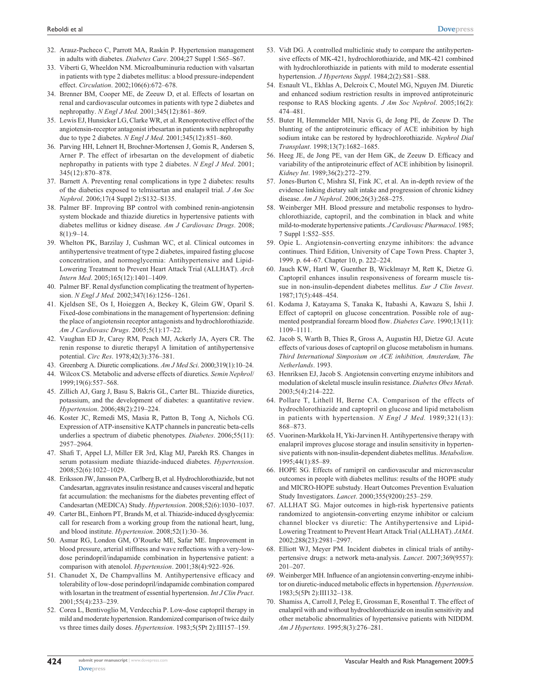- 32. Arauz-Pacheco C, Parrott MA, Raskin P. Hypertension management in adults with diabetes. *Diabetes Care*. 2004;27 Suppl 1:S65–S67.
- 33. Viberti G, Wheeldon NM. Microalbuminuria reduction with valsartan in patients with type 2 diabetes mellitus: a blood pressure-independent effect. *Circulation*. 2002;106(6):672–678.
- 34. Brenner BM, Cooper ME, de Zeeuw D, et al. Effects of losartan on renal and cardiovascular outcomes in patients with type 2 diabetes and nephropathy. *N Engl J Med.* 2001;345(12):861–869.
- 35. Lewis EJ, Hunsicker LG, Clarke WR, et al. Renoprotective effect of the angiotensin-receptor antagonist irbesartan in patients with nephropathy due to type 2 diabetes. *N Engl J Med*. 2001;345(12):851–860.
- 36. Parving HH, Lehnert H, Brochner-Mortensen J, Gomis R, Andersen S, Arner P. The effect of irbesartan on the development of diabetic nephropathy in patients with type 2 diabetes. *N Engl J Med*. 2001; 345(12):870–878.
- 37. Barnett A. Preventing renal complications in type 2 diabetes: results of the diabetics exposed to telmisartan and enalapril trial. *J Am Soc Nephrol*. 2006;17(4 Suppl 2):S132–S135.
- 38. Palmer BF. Improving BP control with combined renin-angiotensin system blockade and thiazide diuretics in hypertensive patients with diabetes mellitus or kidney disease. *Am J Cardiovasc Drugs*. 2008;  $8(1) \cdot 9 - 14$
- 39. Whelton PK, Barzilay J, Cushman WC, et al. Clinical outcomes in antihypertensive treatment of type 2 diabetes, impaired fasting glucose concentration, and normoglycemia: Antihypertensive and Lipid-Lowering Treatment to Prevent Heart Attack Trial (ALLHAT). *Arch Intern Med*. 2005;165(12):1401–1409.
- 40. Palmer BF. Renal dysfunction complicating the treatment of hypertension. *N Engl J Med.* 2002;347(16):1256–1261.
- 41. Kjeldsen SE, Os I, Hoieggen A, Beckey K, Gleim GW, Oparil S. Fixed-dose combinations in the management of hypertension: defining the place of angiotensin receptor antagonists and hydrochlorothiazide. *Am J Cardiovasc Drugs*. 2005;5(1):17–22.
- 42. Vaughan ED Jr, Carey RM, Peach MJ, Ackerly JA, Ayers CR. The renin response to diuretic therapyl A limitation of antihypertensive potential. *Circ Res*. 1978;42(3):376–381.
- 43. Greenberg A. Diuretic complications. *Am J Med Sci*. 2000;319(1):10–24.
- 44. Wilcox CS. Metabolic and adverse effects of diuretics. *Semin Nephrol*/ 1999;19(6):557–568.
- 45. Zillich AJ, Garg J, Basu S, Bakris GL, Carter BL. Thiazide diuretics, potassium, and the development of diabetes: a quantitative review. *Hypertension*. 2006;48(2):219–224.
- 46. Koster JC, Remedi MS, Masia R, Patton B, Tong A, Nichols CG. Expression of ATP-insensitive KATP channels in pancreatic beta-cells underlies a spectrum of diabetic phenotypes. *Diabetes*. 2006;55(11): 2957–2964.
- 47. Shafi T, Appel LJ, Miller ER 3rd, Klag MJ, Parekh RS. Changes in serum potassium mediate thiazide-induced diabetes. *Hypertension*. 2008;52(6):1022–1029.
- 48. Eriksson JW, Jansson PA, Carlberg B, et al. Hydrochlorothiazide, but not Candesartan, aggravates insulin resistance and causes visceral and hepatic fat accumulation: the mechanisms for the diabetes preventing effect of Candesartan (MEDICA) Study. *Hypertension*. 2008;52(6):1030–1037.
- 49. Carter BL, Einhorn PT, Brands M, et al. Thiazide-induced dysglycemia: call for research from a working group from the national heart, lung, and blood institute. *Hypertension*. 2008;52(1):30–36.
- 50. Asmar RG, London GM, O'Rourke ME, Safar ME. Improvement in blood pressure, arterial stiffness and wave reflections with a very-lowdose perindopril/indapamide combination in hypertensive patient: a comparison with atenolol. *Hypertension*. 2001;38(4):922–926.
- 51. Chanudet X, De Champvallins M. Antihypertensive efficacy and tolerability of low-dose perindopril/indapamide combination compared with losartan in the treatment of essential hypertension. *Int J Clin Pract*. 2001;55(4):233–239.
- 52. Corea L, Bentivoglio M, Verdecchia P. Low-dose captopril therapy in mild and moderate hypertension. Randomized comparison of twice daily vs three times daily doses. *Hypertension*. 1983;5(5Pt 2):III157–159.
- 53. Vidt DG. A controlled multiclinic study to compare the antihypertensive effects of MK-421, hydrochlorothiazide, and MK-421 combined with hydrochlorothiazide in patients with mild to moderate essential hypertension. *J Hypertens Suppl*. 1984;2(2):S81–S88.
- 54. Esnault VL, Ekhlas A, Delcroix C, Moutel MG, Nguyen JM. Diuretic and enhanced sodium restriction results in improved antiproteinuric response to RAS blocking agents. *J Am Soc Nephrol*. 2005;16(2): 474–481.
- 55. Buter H, Hemmelder MH, Navis G, de Jong PE, de Zeeuw D. The blunting of the antiproteinuric efficacy of ACE inhibition by high sodium intake can be restored by hydrochlorothiazide. *Nephrol Dial Transplant*. 1998;13(7):1682–1685.
- 56. Heeg JE, de Jong PE, van der Hem GK, de Zeeuw D. Efficacy and variability of the antiproteinuric effect of ACE inhibition by lisinopril. *Kidney Int*. 1989;36(2):272–279.
- 57. Jones-Burton C, Mishra SI, Fink JC, et al. An in-depth review of the evidence linking dietary salt intake and progression of chronic kidney disease. *Am J Nephrol*. 2006;26(3):268–275.
- 58. Weinberger MH. Blood pressure and metabolic responses to hydrochlorothiazide, captopril, and the combination in black and white mild-to-moderate hypertensive patients. *J Cardiovasc Pharmacol*. 1985; 7 Suppl 1:S52–S55.
- 59. Opie L. Angiotensin-converting enzyme inhibitors: the advance continues. Third Edition, University of Cape Town Press. Chapter 3, 1999. p. 64–67. Chapter 10, p. 222–224.
- 60. Jauch KW, Hartl W, Guenther B, Wicklmayr M, Rett K, Dietze G. Captopril enhances insulin responsiveness of forearm muscle tissue in non-insulin-dependent diabetes mellitus. *Eur J Clin Invest*. 1987;17(5):448–454.
- 61. Kodama J, Katayama S, Tanaka K, Itabashi A, Kawazu S, Ishii J. Effect of captopril on glucose concentration. Possible role of augmented postprandial forearm blood flow. *Diabetes Care*. 1990;13(11): 1109–1111.
- 62. Jacob S, Warth B, Thies R, Gross A, Augustin HJ, Dietze GJ. Acute effects of various doses of captopril on glucose metabolism in humans. *Third International Simposium on ACE inhibition, Amsterdam, The Netherlands*. 1993.
- 63. Henriksen EJ, Jacob S. Angiotensin converting enzyme inhibitors and modulation of skeletal muscle insulin resistance. *Diabetes Obes Metab*. 2003;5(4):214–222.
- 64. Pollare T, Lithell H, Berne CA. Comparison of the effects of hydrochlorothiazide and captopril on glucose and lipid metabolism in patients with hypertension. *N Engl J Med.* 1989;321(13): 868–873.
- 65. Vuorinen-Markkola H, Yki-Jarvinen H. Antihypertensive therapy with enalapril improves glucose storage and insulin sensitivity in hypertensive patients with non-insulin-dependent diabetes mellitus. *Metabolism*. 1995;44(1):85–89.
- 66. HOPE SG. Effects of ramipril on cardiovascular and microvascular outcomes in people with diabetes mellitus: results of the HOPE study and MICRO-HOPE substudy. Heart Outcomes Prevention Evaluation Study Investigators. *Lancet*. 2000;355(9200):253–259.
- 67. ALLHAT SG. Major outcomes in high-risk hypertensive patients randomized to angiotensin-converting enzyme inhibitor or calcium channel blocker vs diuretic: The Antihypertensive and Lipid-Lowering Treatment to Prevent Heart Attack Trial (ALLHAT). *JAMA*. 2002;288(23):2981–2997.
- 68. Elliott WJ, Meyer PM. Incident diabetes in clinical trials of antihypertensive drugs: a network meta-analysis. *Lancet*. 2007;369(9557): 201–207.
- 69. Weinberger MH. Influence of an angiotensin converting-enzyme inhibitor on diuretic-induced metabolic effects in hypertension. *Hypertension*. 1983;5(5Pt 2):III132–138.
- 70. Shamiss A, Carroll J, Peleg E, Grossman E, Rosenthal T. The effect of enalapril with and without hydrochlorothiazide on insulin sensitivity and other metabolic abnormalities of hypertensive patients with NIDDM. *Am J Hypertens*. 1995;8(3):276–281.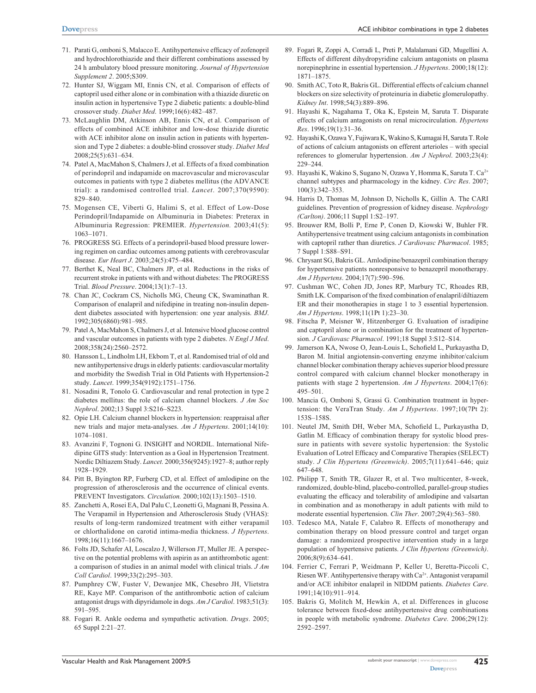- 71. Parati G, omboni S, Malacco E. Antihypertensive efficacy of zofenopril and hydrochlorothiazide and their different combinations assessed by 24 h ambulatory blood pressure monitoring. *Journal of Hypertension Supplement 2*. 2005;S309.
- 72. Hunter SJ, Wiggam MI, Ennis CN, et al. Comparison of effects of captopril used either alone or in combination with a thiazide diuretic on insulin action in hypertensive Type 2 diabetic patients: a double-blind crossover study. *Diabet Med*. 1999;16(6):482–487.
- 73. McLaughlin DM, Atkinson AB, Ennis CN, et al. Comparison of effects of combined ACE inhibitor and low-dose thiazide diuretic with ACE inhibitor alone on insulin action in patients with hypertension and Type 2 diabetes: a double-blind crossover study. *Diabet Med* 2008;25(5):631–634.
- 74. Patel A, MacMahon S, Chalmers J, et al. Effects of a fixed combination of perindopril and indapamide on macrovascular and microvascular outcomes in patients with type 2 diabetes mellitus (the ADVANCE trial): a randomised controlled trial. *Lancet*. 2007;370(9590): 829–840.
- 75. Mogensen CE, Viberti G, Halimi S, et al. Effect of Low-Dose Perindopril/Indapamide on Albuminuria in Diabetes: Preterax in Albuminuria Regression: PREMIER. *Hypertension.* 2003;41(5): 1063–1071.
- 76. PROGRESS SG. Effects of a perindopril-based blood pressure lowering regimen on cardiac outcomes among patients with cerebrovascular disease. *Eur Heart J*. 2003;24(5):475–484.
- 77. Berthet K, Neal BC, Chalmers JP, et al. Reductions in the risks of recurrent stroke in patients with and without diabetes: The PROGRESS Trial. *Blood Pressure*. 2004;13(1):7–13.
- 78. Chan JC, Cockram CS, Nicholls MG, Cheung CK, Swaminathan R. Comparison of enalapril and nifedipine in treating non-insulin dependent diabetes associated with hypertension: one year analysis. *BMJ*. 1992;305(6860):981–985.
- 79. Patel A, MacMahon S, Chalmers J, et al. Intensive blood glucose control and vascular outcomes in patients with type 2 diabetes. *N Engl J Med*. 2008;358(24):2560–2572.
- 80. Hansson L, Lindholm LH, Ekbom T, et al. Randomised trial of old and new antihypertensive drugs in elderly patients: cardiovascular mortality and morbidity the Swedish Trial in Old Patients with Hypertension-2 study. *Lancet*. 1999;354(9192):1751–1756.
- 81. Nosadini R, Tonolo G. Cardiovascular and renal protection in type 2 diabetes mellitus: the role of calcium channel blockers. *J Am Soc Nephrol*. 2002;13 Suppl 3:S216–S223.
- 82. Opie LH. Calcium channel blockers in hypertension: reappraisal after new trials and major meta-analyses. *Am J Hypertens*. 2001;14(10): 1074–1081.
- 83. Avanzini F, Tognoni G. INSIGHT and NORDIL. International Nifedipine GITS study: Intervention as a Goal in Hypertension Treatment. Nordic Diltiazem Study. *Lancet.* 2000;356(9245):1927–8; author reply 1928–1929.
- 84. Pitt B, Byington RP, Furberg CD, et al. Effect of amlodipine on the progression of atherosclerosis and the occurrence of clinical events. PREVENT Investigators. *Circulation.* 2000;102(13):1503–1510.
- 85. Zanchetti A, Rosei EA, Dal Palu C, Leonetti G, Magnani B, Pessina A. The Verapamil in Hypertension and Atherosclerosis Study (VHAS): results of long-term randomized treatment with either verapamil or chlorthalidone on carotid intima-media thickness. *J Hypertens*. 1998;16(11):1667–1676.
- 86. Folts JD, Schafer AI, Loscalzo J, Willerson JT, Muller JE. A perspective on the potential problems with aspirin as an antithrombotic agent: a comparison of studies in an animal model with clinical trials. *J Am Coll Cardiol*. 1999;33(2):295–303.
- 87. Pumphrey CW, Fuster V, Dewanjee MK, Chesebro JH, Vlietstra RE, Kaye MP. Comparison of the antithrombotic action of calcium antagonist drugs with dipyridamole in dogs. *Am J Cardiol*. 1983;51(3): 591–595.
- 88. Fogari R. Ankle oedema and sympathetic activation. *Drugs*. 2005; 65 Suppl 2:21–27.
- 89. Fogari R, Zoppi A, Corradi L, Preti P, Malalamani GD, Mugellini A. Effects of different dihydropyridine calcium antagonists on plasma norepinephrine in essential hypertension. *J Hypertens*. 2000;18(12): 1871–1875.
- 90. Smith AC, Toto R, Bakris GL. Differential effects of calcium channel blockers on size selectivity of proteinuria in diabetic glomerulopathy. *Kidney Int*. 1998;54(3):889–896.
- 91. Hayashi K, Nagahama T, Oka K, Epstein M, Saruta T. Disparate effects of calcium antagonists on renal microcirculation. *Hypertens Res*. 1996;19(1):31–36.
- 92. Hayashi K, Ozawa Y, Fujiwara K, Wakino S, Kumagai H, Saruta T. Role of actions of calcium antagonists on efferent arterioles – with special references to glomerular hypertension. *Am J Nephrol*. 2003;23(4): 229–244.
- 93. Hayashi K, Wakino S, Sugano N, Ozawa Y, Homma K, Saruta T. Ca<sup>2+</sup> channel subtypes and pharmacology in the kidney. *Circ Res*. 2007; 100(3):342–353.
- 94. Harris D, Thomas M, Johnson D, Nicholls K, Gillin A. The CARI guidelines. Prevention of progression of kidney disease. *Nephrology (Carlton)*. 2006;11 Suppl 1:S2–197.
- 95. Brouwer RM, Bolli P, Erne P, Conen D, Kiowski W, Buhler FR. Antihypertensive treatment using calcium antagonists in combination with captopril rather than diuretics. *J Cardiovasc Pharmacol*. 1985; 7 Suppl 1:S88–S91.
- 96. Chrysant SG, Bakris GL. Amlodipine/benazepril combination therapy for hypertensive patients nonresponsive to benazepril monotherapy. *Am J Hypertens*. 2004;17(7):590–596.
- 97. Cushman WC, Cohen JD, Jones RP, Marbury TC, Rhoades RB, Smith LK. Comparison of the fixed combination of enalapril/diltiazem ER and their monotherapies in stage 1 to 3 essential hypertension. *Am J Hypertens*. 1998;11(1Pt 1):23–30.
- 98. Fitscha P, Meisner W, Hitzenberger G. Evaluation of isradipine and captopril alone or in combination for the treatment of hypertension. *J Cardiovasc Pharmacol*. 1991;18 Suppl 3:S12–S14.
- 99. Jamerson KA, Nwose O, Jean-Louis L, Schofield L, Purkayastha D, Baron M. Initial angiotensin-converting enzyme inhibitor/calcium channel blocker combination therapy achieves superior blood pressure control compared with calcium channel blocker monotherapy in patients with stage 2 hypertension. *Am J Hypertens*. 2004;17(6): 495–501.
- 100. Mancia G, Omboni S, Grassi G. Combination treatment in hypertension: the VeraTran Study. *Am J Hypertens*. 1997;10(7Pt 2): 153S–158S.
- 101. Neutel JM, Smith DH, Weber MA, Schofield L, Purkayastha D, Gatlin M. Efficacy of combination therapy for systolic blood pressure in patients with severe systolic hypertension: the Systolic Evaluation of Lotrel Efficacy and Comparative Therapies (SELECT) study. *J Clin Hypertens (Greenwich)*. 2005;7(11):641–646; quiz 647–648.
- 102. Philipp T, Smith TR, Glazer R, et al. Two multicenter, 8-week, randomized, double-blind, placebo-controlled, parallel-group studies evaluating the efficacy and tolerability of amlodipine and valsartan in combination and as monotherapy in adult patients with mild to moderate essential hypertension. *Clin Ther*. 2007;29(4):563–580.
- 103. Tedesco MA, Natale F, Calabro R. Effects of monotherapy and combination therapy on blood pressure control and target organ damage: a randomized prospective intervention study in a large population of hypertensive patients. *J Clin Hypertens (Greenwich)*. 2006;8(9):634–641.
- 104. Ferrier C, Ferrari P, Weidmann P, Keller U, Beretta-Piccoli C, Riesen WF. Antihypertensive therapy with Ca<sup>2+</sup>. Antagonist verapamil and/or ACE inhibitor enalapril in NIDDM patients. *Diabetes Care*. 1991;14(10):911–914.
- 105. Bakris G, Molitch M, Hewkin A, et al. Differences in glucose tolerance between fixed-dose antihypertensive drug combinations in people with metabolic syndrome. *Diabetes Care.* 2006;29(12): 2592–2597.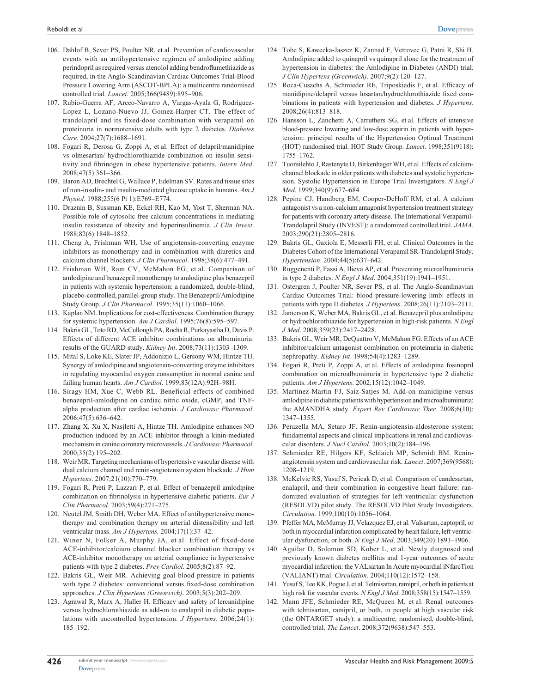- 106. Dahlof B, Sever PS, Poulter NR, et al. Prevention of cardiovascular events with an antihypertensive regimen of amlodipine adding perindopril as required versus atenolol adding bendroflumethiazide as required, in the Anglo-Scandinavian Cardiac Outcomes Trial-Blood Pressure Lowering Arm (ASCOT-BPLA): a multicentre randomised controlled trial. *Lancet*. 2005;366(9489):895–906.
- 107. Rubio-Guerra AF, Arceo-Navarro A, Vargas-Ayala G, Rodriguez-Lopez L, Lozano-Nuevo JJ, Gomez-Harper CT. The effect of trandolapril and its fixed-dose combination with verapamil on proteinuria in normotensive adults with type 2 diabetes. *Diabetes Care*. 2004;27(7):1688–1691.
- 108. Fogari R, Derosa G, Zoppi A, et al. Effect of delapril/manidipine vs olmesartan/ hydrochlorothiazide combination on insulin sensitivity and fibrinogen in obese hypertensive patients. *Intern Med*. 2008;47(5):361–366.
- 109. Baron AD, Brechtel G, Wallace P, Edelman SV. Rates and tissue sites of non-insulin- and insulin-mediated glucose uptake in humans. *Am J Physiol*. 1988;255(6 Pt 1):E769–E774.
- 110. Draznin B, Sussman KE, Eckel RH, Kao M, Yost T, Sherman NA. Possible role of cytosolic free calcium concentrations in mediating insulin resistance of obesity and hyperinsulinemia. *J Clin Invest*. 1988;82(6):1848–1852.
- 111. Cheng A, Frishman WH. Use of angiotensin-converting enzyme inhibitors as monotherapy and in combination with diuretics and calcium channel blockers. *J Clin Pharmacol*. 1998;38(6):477–491.
- 112. Frishman WH, Ram CV, McMahon FG, et al. Comparison of amlodipine and benazepril monotherapy to amlodipine plus benazepril in patients with systemic hypertension: a randomized, double-blind, placebo-controlled, parallel-group study. The Benazepril/Amlodipine Study Group. *J Clin Pharmacol*. 1995;35(11):1060–1066.
- 113. Kaplan NM. Implications for cost-effectiveness. Combination therapy for systemic hypertension. *Am J Cardiol*. 1995;76(8):595–597.
- 114. Bakris GL, Toto RD, McCullough PA, Rocha R, Purkayastha D, Davis P. Effects of different ACE inhibitor combinations on albuminuria: results of the GUARD study. *Kidney Int*. 2008;73(11):1303–1309.
- 115. Mital S, Loke KE, Slater JP, Addonizio L, Gersony WM, Hintze TH. Synergy of amlodipine and angiotensin-converting enzyme inhibitors in regulating myocardial oxygen consumption in normal canine and failing human hearts. *Am J Cardiol*. 1999;83(12A):92H–98H.
- 116. Siragy HM, Xue C, Webb RL. Beneficial effects of combined benazepril-amlodipine on cardiac nitric oxide, cGMP, and TNFalpha production after cardiac ischemia. *J Cardiovasc Pharmacol*. 2006;47(5):636–642.
- 117. Zhang X, Xu X, Nasjletti A, Hintze TH. Amlodipine enhances NO production induced by an ACE inhibitor through a kinin-mediated mechanism in canine coronary microvessels. *J Cardiovasc Pharmacol*. 2000;35(2):195–202.
- 118. Weir MR. Targeting mechanisms of hypertensive vascular disease with dual calcium channel and renin-angiotensin system blockade. *J Hum Hypertens*. 2007;21(10):770–779.
- 119. Fogari R, Preti P, Lazzari P, et al. Effect of benazepril amlodipine combination on fibrinolysis in hypertensive diabetic patients. *Eur J Clin Pharmacol*. 2003;59(4):271–275.
- 120. Neutel JM, Smith DH, Weber MA. Effect of antihypertensive monotherapy and combination therapy on arterial distensibility and left ventricular mass. *Am J Hypertens.* 2004;17(1):37–42.
- 121. Winer N, Folker A, Murphy JA, et al. Effect of fixed-dose ACE-inhibitor/calcium channel blocker combination therapy vs ACE-inhibitor monotherapy on arterial compliance in hypertensive patients with type 2 diabetes. *Prev Cardiol*. 2005;8(2):87–92.
- 122. Bakris GL, Weir MR. Achieving goal blood pressure in patients with type 2 diabetes: conventional versus fixed-dose combination approaches. *J Clin Hypertens (Greenwich)*. 2003;5(3):202–209.
- 123. Agrawal R, Marx A, Haller H. Efficacy and safety of lercanidipine versus hydrochlorothiazide as add-on to enalapril in diabetic populations with uncontrolled hypertension. *J Hypertens*. 2006;24(1): 185–192.
- 124. Tobe S, Kawecka-Jaszcz K, Zannad F, Vetrovec G, Patni R, Shi H. Amlodipine added to quinapril vs quinapril alone for the treatment of hypertension in diabetes: the Amlodipine in Diabetes (ANDI) trial. *J Clin Hypertens (Greenwich)*. 2007;9(2):120–127.
- 125. Roca-Cusachs A, Schmieder RE, Triposkiadis F, et al. Efficacy of manidipine/delapril versus losartan/hydrochlorothiazide fixed combinations in patients with hypertension and diabetes. *J Hypertens*. 2008;26(4):813–818.
- 126. Hansson L, Zanchetti A, Carruthers SG, et al. Effects of intensive blood-pressure lowering and low-dose aspirin in patients with hypertension: principal results of the Hypertension Optimal Treatment (HOT) randomised trial. HOT Study Group. *Lancet*. 1998;351(9118): 1755–1762.
- 127. Tuomilehto J, Rastenyte D, Birkenhager WH, et al. Effects of calciumchannel blockade in older patients with diabetes and systolic hypertension. Systolic Hypertension in Europe Trial Investigators. *N Engl J Med*. 1999;340(9):677–684.
- 128. Pepine CJ, Handberg EM, Cooper-DeHoff RM, et al. A calcium antagonist vs a non-calcium antagonist hypertension treatment strategy for patients with coronary artery disease. The International Verapamil-Trandolapril Study (INVEST): a randomized controlled trial. *JAMA*. 2003;290(21):2805–2816.
- 129. Bakris GL, Gaxiola E, Messerli FH, et al. Clinical Outcomes in the Diabetes Cohort of the International Verapamil SR-Trandolapril Study. *Hypertension*. 2004;44(5):637–642.
- 130. Ruggenenti P, Fassi A, Ilieva AP, et al. Preventing microalbuminuria in type 2 diabetes. *N Engl J Med*. 2004;351(19):1941–1951.
- 131. Ostergren J, Poulter NR, Sever PS, et al. The Anglo-Scandinavian Cardiac Outcomes Trial: blood pressure-lowering limb: effects in patients with type II diabetes. *J Hypertens*. 2008;26(11):2103–2111.
- 132. Jamerson K, Weber MA, Bakris GL, et al. Benazepril plus amlodipine or hydrochlorothiazide for hypertension in high-risk patients. *N Engl J Med*. 2008;359(23):2417–2428.
- 133. Bakris GL, Weir MR, DeQuattro V, McMahon FG. Effects of an ACE inhibitor/calcium antagonist combination on proteinuria in diabetic nephropathy. *Kidney Int*. 1998;54(4):1283–1289.
- 134. Fogari R, Preti P, Zoppi A, et al. Effects of amlodipine fosinopril combination on microalbuminuria in hypertensive type 2 diabetic patients. *Am J Hypertens*. 2002;15(12):1042–1049.
- 135. Martinez-Martin FJ, Saiz-Satjes M. Add-on manidipine versus amlodipine in diabetic patients with hypertension and microalbuminuria: the AMANDHA study. *Expert Rev Cardiovasc Ther*. 2008;6(10): 1347–1355.
- 136. Perazella MA, Setaro JF. Renin-angiotensin-aldosterone system: fundamental aspects and clinical implications in renal and cardiovascular disorders. *J Nucl Cardiol*. 2003;10(2):184–196.
- 137. Schmieder RE, Hilgers KF, Schlaich MP, Schmidt BM. Reninangiotensin system and cardiovascular risk. *Lancet*. 2007;369(9568): 1208–1219.
- 138. McKelvie RS, Yusuf S, Pericak D, et al. Comparison of candesartan, enalapril, and their combination in congestive heart failure: randomized evaluation of strategies for left ventricular dysfunction (RESOLVD) pilot study. The RESOLVD Pilot Study Investigators. *Circulation*. 1999;100(10):1056–1064.
- 139. Pfeffer MA, McMurray JJ, Velazquez EJ, et al. Valsartan, captopril, or both in myocardial infarction complicated by heart failure, left ventricular dysfunction, or both. *N Engl J Med*. 2003;349(20):1893–1906.
- 140. Aguilar D, Solomon SD, Kober L, et al. Newly diagnosed and previously known diabetes mellitus and 1-year outcomes of acute myocardial infarction: the VALsartan In Acute myocardial iNfarcTion (VALIANT) trial. *Circulation*. 2004;110(12):1572–158.
- 141. Yusuf S, Teo KK, Pogue J, et al. Telmisartan, ramipril, or both in patients at high risk for vascular events. *N Engl J Med*. 2008;358(15):1547–1559.
- 142. Mann JFE, Schmieder RE, McQueen M, et al. Renal outcomes with telmisartan, ramipril, or both, in people at high vascular risk (the ONTARGET study): a multicentre, randomised, double-blind, controlled trial. *The Lancet*. 2008;372(9638):547–553.